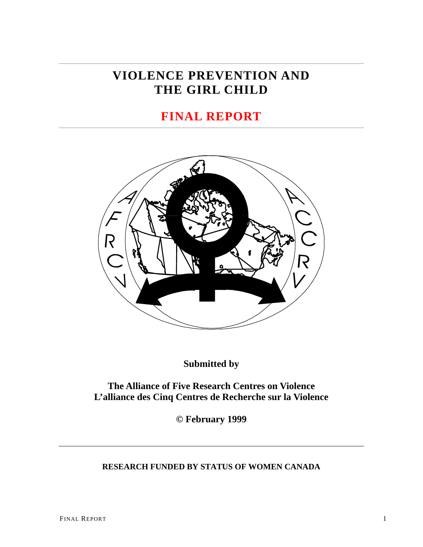# **VIOLENCE PREVENTION AND THE GIRL CHILD**

# **FINAL REPORT**



**Submitted by** 

**The Alliance of Five Research Centres on Violence L'alliance des Cinq Centres de Recherche sur la Violence** 

**© February 1999** 

# **RESEARCH FUNDED BY STATUS OF WOMEN CANADA**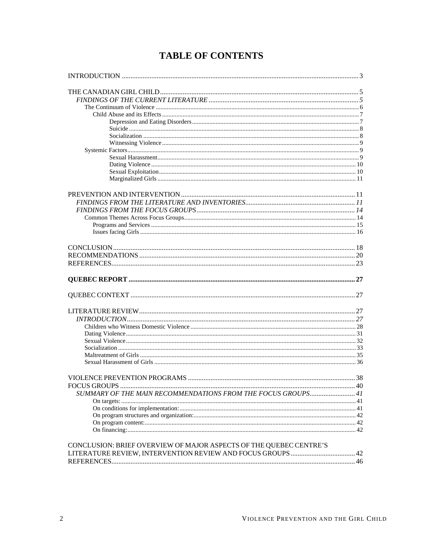# **TABLE OF CONTENTS**

| SUMMARY OF THE MAIN RECOMMENDATIONS FROM THE FOCUS GROUPS 41       |  |
|--------------------------------------------------------------------|--|
|                                                                    |  |
|                                                                    |  |
|                                                                    |  |
|                                                                    |  |
|                                                                    |  |
| CONCLUSION: BRIEF OVERVIEW OF MAJOR ASPECTS OF THE QUEBEC CENTRE'S |  |
|                                                                    |  |
|                                                                    |  |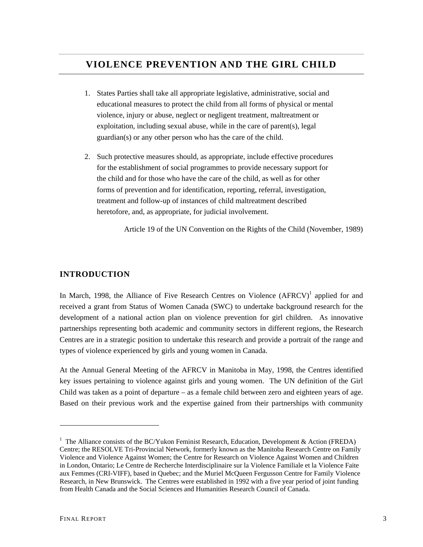# <span id="page-2-0"></span>**VIOLENCE PREVENTION AND THE GIRL CHILD**

- 1. States Parties shall take all appropriate legislative, administrative, social and educational measures to protect the child from all forms of physical or mental violence, injury or abuse, neglect or negligent treatment, maltreatment or exploitation, including sexual abuse, while in the care of parent(s), legal guardian(s) or any other person who has the care of the child.
- 2. Such protective measures should, as appropriate, include effective procedures for the establishment of social programmes to provide necessary support for the child and for those who have the care of the child, as well as for other forms of prevention and for identification, reporting, referral, investigation, treatment and follow-up of instances of child maltreatment described heretofore, and, as appropriate, for judicial involvement.

Article 19 of the UN Convention on the Rights of the Child (November, 1989)

# **INTRODUCTION**

In March, [1](#page-2-1)998, the Alliance of Five Research Centres on Violence (AFRCV)<sup>1</sup> applied for and received a grant from Status of Women Canada (SWC) to undertake background research for the development of a national action plan on violence prevention for girl children. As innovative partnerships representing both academic and community sectors in different regions, the Research Centres are in a strategic position to undertake this research and provide a portrait of the range and types of violence experienced by girls and young women in Canada.

At the Annual General Meeting of the AFRCV in Manitoba in May, 1998, the Centres identified key issues pertaining to violence against girls and young women. The UN definition of the Girl Child was taken as a point of departure – as a female child between zero and eighteen years of age. Based on their previous work and the expertise gained from their partnerships with community

 $\overline{a}$ 

<span id="page-2-1"></span><sup>&</sup>lt;sup>1</sup> The Alliance consists of the BC/Yukon Feminist Research, Education, Development & Action (FREDA) Centre; the RESOLVE Tri-Provincial Network, formerly known as the Manitoba Research Centre on Family Violence and Violence Against Women; the Centre for Research on Violence Against Women and Children in London, Ontario; Le Centre de Recherche Interdisciplinaire sur la Violence Familiale et la Violence Faite aux Femmes (CRI-VIFF), based in Quebec; and the Muriel McQueen Fergusson Centre for Family Violence Research, in New Brunswick. The Centres were established in 1992 with a five year period of joint funding from Health Canada and the Social Sciences and Humanities Research Council of Canada.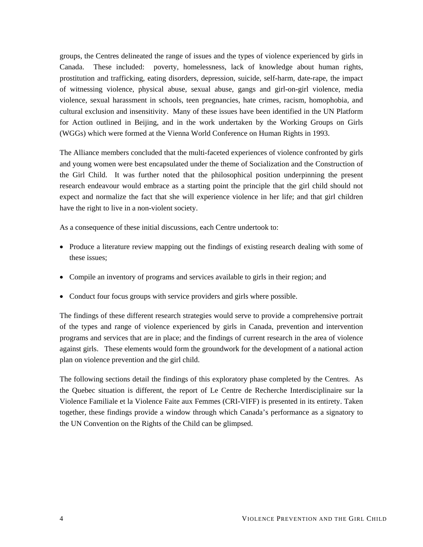groups, the Centres delineated the range of issues and the types of violence experienced by girls in Canada. These included: poverty, homelessness, lack of knowledge about human rights, prostitution and trafficking, eating disorders, depression, suicide, self-harm, date-rape, the impact of witnessing violence, physical abuse, sexual abuse, gangs and girl-on-girl violence, media violence, sexual harassment in schools, teen pregnancies, hate crimes, racism, homophobia, and cultural exclusion and insensitivity. Many of these issues have been identified in the UN Platform for Action outlined in Beijing, and in the work undertaken by the Working Groups on Girls (WGGs) which were formed at the Vienna World Conference on Human Rights in 1993.

The Alliance members concluded that the multi-faceted experiences of violence confronted by girls and young women were best encapsulated under the theme of Socialization and the Construction of the Girl Child. It was further noted that the philosophical position underpinning the present research endeavour would embrace as a starting point the principle that the girl child should not expect and normalize the fact that she will experience violence in her life; and that girl children have the right to live in a non-violent society.

As a consequence of these initial discussions, each Centre undertook to:

- Produce a literature review mapping out the findings of existing research dealing with some of these issues;
- Compile an inventory of programs and services available to girls in their region; and
- Conduct four focus groups with service providers and girls where possible.

The findings of these different research strategies would serve to provide a comprehensive portrait of the types and range of violence experienced by girls in Canada, prevention and intervention programs and services that are in place; and the findings of current research in the area of violence against girls. These elements would form the groundwork for the development of a national action plan on violence prevention and the girl child.

The following sections detail the findings of this exploratory phase completed by the Centres. As the Quebec situation is different, the report of Le Centre de Recherche Interdisciplinaire sur la Violence Familiale et la Violence Faite aux Femmes (CRI-VIFF) is presented in its entirety. Taken together, these findings provide a window through which Canada's performance as a signatory to the UN Convention on the Rights of the Child can be glimpsed.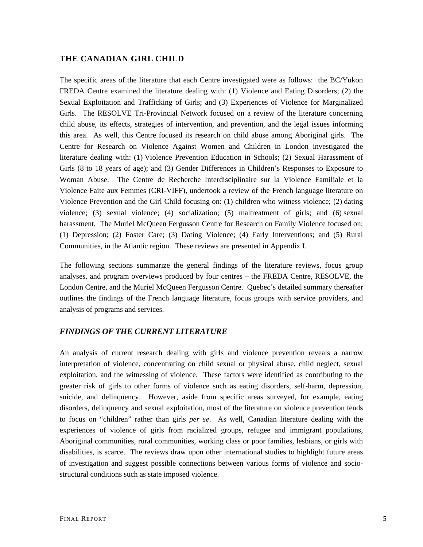## <span id="page-4-0"></span>**THE CANADIAN GIRL CHILD**

The specific areas of the literature that each Centre investigated were as follows: the BC/Yukon FREDA Centre examined the literature dealing with: (1) Violence and Eating Disorders; (2) the Sexual Exploitation and Trafficking of Girls; and (3) Experiences of Violence for Marginalized Girls. The RESOLVE Tri-Provincial Network focused on a review of the literature concerning child abuse, its effects, strategies of intervention, and prevention, and the legal issues informing this area. As well, this Centre focused its research on child abuse among Aboriginal girls. The Centre for Research on Violence Against Women and Children in London investigated the literature dealing with: (1) Violence Prevention Education in Schools; (2) Sexual Harassment of Girls (8 to 18 years of age); and (3) Gender Differences in Children's Responses to Exposure to Woman Abuse. The Centre de Recherche Interdisciplinaire sur la Violence Familiale et la Violence Faite aux Femmes (CRI-VIFF), undertook a review of the French language literature on Violence Prevention and the Girl Child focusing on: (1) children who witness violence; (2) dating violence; (3) sexual violence; (4) socialization; (5) maltreatment of girls; and (6) sexual harassment. The Muriel McQueen Fergusson Centre for Research on Family Violence focused on: (1) Depression; (2) Foster Care; (3) Dating Violence; (4) Early Interventions; and (5) Rural Communities, in the Atlantic region. These reviews are presented in Appendix I.

The following sections summarize the general findings of the literature reviews, focus group analyses, and program overviews produced by four centres – the FREDA Centre, RESOLVE, the London Centre, and the Muriel McQueen Fergusson Centre. Quebec's detailed summary thereafter outlines the findings of the French language literature, focus groups with service providers, and analysis of programs and services.

## *FINDINGS OF THE CURRENT LITERATURE*

An analysis of current research dealing with girls and violence prevention reveals a narrow interpretation of violence, concentrating on child sexual or physical abuse, child neglect, sexual exploitation, and the witnessing of violence. These factors were identified as contributing to the greater risk of girls to other forms of violence such as eating disorders, self-harm, depression, suicide, and delinquency. However, aside from specific areas surveyed, for example, eating disorders, delinquency and sexual exploitation, most of the literature on violence prevention tends to focus on "children" rather than girls *per se*. As well, Canadian literature dealing with the experiences of violence of girls from racialized groups, refugee and immigrant populations, Aboriginal communities, rural communities, working class or poor families, lesbians, or girls with disabilities, is scarce. The reviews draw upon other international studies to highlight future areas of investigation and suggest possible connections between various forms of violence and sociostructural conditions such as state imposed violence.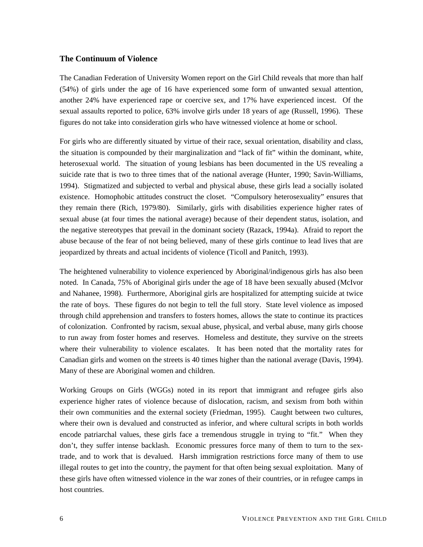### <span id="page-5-0"></span>**The Continuum of Violence**

The Canadian Federation of University Women report on the Girl Child reveals that more than half (54%) of girls under the age of 16 have experienced some form of unwanted sexual attention, another 24% have experienced rape or coercive sex, and 17% have experienced incest. Of the sexual assaults reported to police, 63% involve girls under 18 years of age (Russell, 1996). These figures do not take into consideration girls who have witnessed violence at home or school.

For girls who are differently situated by virtue of their race, sexual orientation, disability and class, the situation is compounded by their marginalization and "lack of fit" within the dominant, white, heterosexual world. The situation of young lesbians has been documented in the US revealing a suicide rate that is two to three times that of the national average (Hunter, 1990; Savin-Williams, 1994). Stigmatized and subjected to verbal and physical abuse, these girls lead a socially isolated existence. Homophobic attitudes construct the closet. "Compulsory heterosexuality" ensures that they remain there (Rich, 1979/80). Similarly, girls with disabilities experience higher rates of sexual abuse (at four times the national average) because of their dependent status, isolation, and the negative stereotypes that prevail in the dominant society (Razack, 1994a). Afraid to report the abuse because of the fear of not being believed, many of these girls continue to lead lives that are jeopardized by threats and actual incidents of violence (Ticoll and Panitch, 1993).

The heightened vulnerability to violence experienced by Aboriginal/indigenous girls has also been noted. In Canada, 75% of Aboriginal girls under the age of 18 have been sexually abused (McIvor and Nahanee, 1998). Furthermore, Aboriginal girls are hospitalized for attempting suicide at twice the rate of boys. These figures do not begin to tell the full story. State level violence as imposed through child apprehension and transfers to fosters homes, allows the state to continue its practices of colonization. Confronted by racism, sexual abuse, physical, and verbal abuse, many girls choose to run away from foster homes and reserves. Homeless and destitute, they survive on the streets where their vulnerability to violence escalates. It has been noted that the mortality rates for Canadian girls and women on the streets is 40 times higher than the national average (Davis, 1994). Many of these are Aboriginal women and children.

Working Groups on Girls (WGGs) noted in its report that immigrant and refugee girls also experience higher rates of violence because of dislocation, racism, and sexism from both within their own communities and the external society (Friedman, 1995). Caught between two cultures, where their own is devalued and constructed as inferior, and where cultural scripts in both worlds encode patriarchal values, these girls face a tremendous struggle in trying to "fit." When they don't, they suffer intense backlash. Economic pressures force many of them to turn to the sextrade, and to work that is devalued. Harsh immigration restrictions force many of them to use illegal routes to get into the country, the payment for that often being sexual exploitation. Many of these girls have often witnessed violence in the war zones of their countries, or in refugee camps in host countries.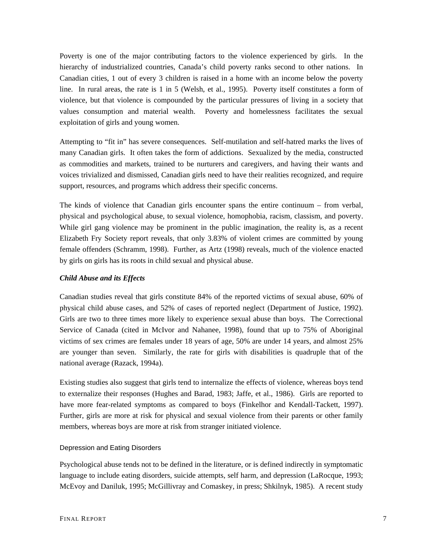<span id="page-6-0"></span>Poverty is one of the major contributing factors to the violence experienced by girls. In the hierarchy of industrialized countries, Canada's child poverty ranks second to other nations. In Canadian cities, 1 out of every 3 children is raised in a home with an income below the poverty line. In rural areas, the rate is 1 in 5 (Welsh, et al., 1995). Poverty itself constitutes a form of violence, but that violence is compounded by the particular pressures of living in a society that values consumption and material wealth. Poverty and homelessness facilitates the sexual exploitation of girls and young women.

Attempting to "fit in" has severe consequences. Self-mutilation and self-hatred marks the lives of many Canadian girls. It often takes the form of addictions. Sexualized by the media, constructed as commodities and markets, trained to be nurturers and caregivers, and having their wants and voices trivialized and dismissed, Canadian girls need to have their realities recognized, and require support, resources, and programs which address their specific concerns.

The kinds of violence that Canadian girls encounter spans the entire continuum – from verbal, physical and psychological abuse, to sexual violence, homophobia, racism, classism, and poverty. While girl gang violence may be prominent in the public imagination, the reality is, as a recent Elizabeth Fry Society report reveals, that only 3.83% of violent crimes are committed by young female offenders (Schramm, 1998). Further, as Artz (1998) reveals, much of the violence enacted by girls on girls has its roots in child sexual and physical abuse.

#### *Child Abuse and its Effects*

Canadian studies reveal that girls constitute 84% of the reported victims of sexual abuse, 60% of physical child abuse cases, and 52% of cases of reported neglect (Department of Justice, 1992). Girls are two to three times more likely to experience sexual abuse than boys. The Correctional Service of Canada (cited in McIvor and Nahanee, 1998), found that up to 75% of Aboriginal victims of sex crimes are females under 18 years of age, 50% are under 14 years, and almost 25% are younger than seven. Similarly, the rate for girls with disabilities is quadruple that of the national average (Razack, 1994a).

Existing studies also suggest that girls tend to internalize the effects of violence, whereas boys tend to externalize their responses (Hughes and Barad, 1983; Jaffe, et al., 1986). Girls are reported to have more fear-related symptoms as compared to boys (Finkelhor and Kendall-Tackett, 1997). Further, girls are more at risk for physical and sexual violence from their parents or other family members, whereas boys are more at risk from stranger initiated violence.

#### Depression and Eating Disorders

Psychological abuse tends not to be defined in the literature, or is defined indirectly in symptomatic language to include eating disorders, suicide attempts, self harm, and depression (LaRocque, 1993; McEvoy and Daniluk, 1995; McGillivray and Comaskey, in press; Shkilnyk, 1985). A recent study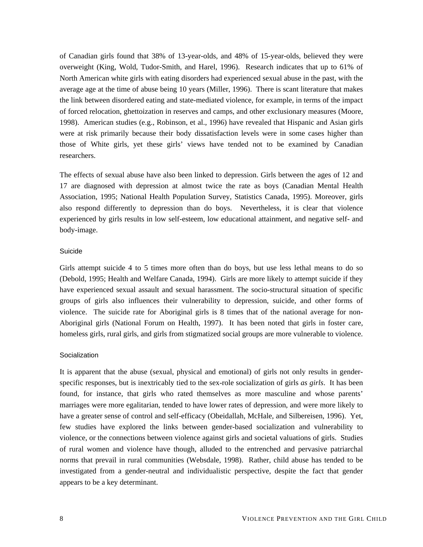<span id="page-7-0"></span>of Canadian girls found that 38% of 13-year-olds, and 48% of 15-year-olds, believed they were overweight (King, Wold, Tudor-Smith, and Harel, 1996). Research indicates that up to 61% of North American white girls with eating disorders had experienced sexual abuse in the past, with the average age at the time of abuse being 10 years (Miller, 1996). There is scant literature that makes the link between disordered eating and state-mediated violence, for example, in terms of the impact of forced relocation, ghettoization in reserves and camps, and other exclusionary measures (Moore, 1998). American studies (e.g., Robinson, et al., 1996) have revealed that Hispanic and Asian girls were at risk primarily because their body dissatisfaction levels were in some cases higher than those of White girls, yet these girls' views have tended not to be examined by Canadian researchers.

The effects of sexual abuse have also been linked to depression. Girls between the ages of 12 and 17 are diagnosed with depression at almost twice the rate as boys (Canadian Mental Health Association, 1995; National Health Population Survey, Statistics Canada, 1995). Moreover, girls also respond differently to depression than do boys. Nevertheless, it is clear that violence experienced by girls results in low self-esteem, low educational attainment, and negative self- and body-image.

#### Suicide

Girls attempt suicide 4 to 5 times more often than do boys, but use less lethal means to do so (Debold, 1995; Health and Welfare Canada, 1994). Girls are more likely to attempt suicide if they have experienced sexual assault and sexual harassment. The socio-structural situation of specific groups of girls also influences their vulnerability to depression, suicide, and other forms of violence. The suicide rate for Aboriginal girls is 8 times that of the national average for non-Aboriginal girls (National Forum on Health, 1997). It has been noted that girls in foster care, homeless girls, rural girls, and girls from stigmatized social groups are more vulnerable to violence.

#### **Socialization**

It is apparent that the abuse (sexual, physical and emotional) of girls not only results in genderspecific responses, but is inextricably tied to the sex-role socialization of girls *as girls*. It has been found, for instance, that girls who rated themselves as more masculine and whose parents' marriages were more egalitarian, tended to have lower rates of depression, and were more likely to have a greater sense of control and self-efficacy (Obeidallah, McHale, and Silbereisen, 1996). Yet, few studies have explored the links between gender-based socialization and vulnerability to violence, or the connections between violence against girls and societal valuations of girls. Studies of rural women and violence have though, alluded to the entrenched and pervasive patriarchal norms that prevail in rural communities (Websdale, 1998). Rather, child abuse has tended to be investigated from a gender-neutral and individualistic perspective, despite the fact that gender appears to be a key determinant.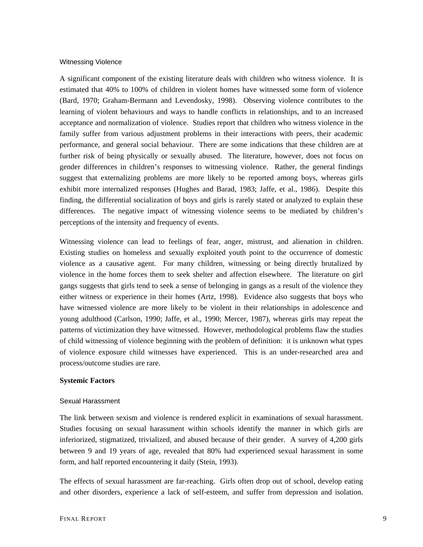#### <span id="page-8-0"></span>Witnessing Violence

A significant component of the existing literature deals with children who witness violence. It is estimated that 40% to 100% of children in violent homes have witnessed some form of violence (Bard, 1970; Graham-Bermann and Levendosky, 1998). Observing violence contributes to the learning of violent behaviours and ways to handle conflicts in relationships, and to an increased acceptance and normalization of violence. Studies report that children who witness violence in the family suffer from various adjustment problems in their interactions with peers, their academic performance, and general social behaviour. There are some indications that these children are at further risk of being physically or sexually abused. The literature, however, does not focus on gender differences in children's responses to witnessing violence. Rather, the general findings suggest that externalizing problems are more likely to be reported among boys, whereas girls exhibit more internalized responses (Hughes and Barad, 1983; Jaffe, et al., 1986). Despite this finding, the differential socialization of boys and girls is rarely stated or analyzed to explain these differences. The negative impact of witnessing violence seems to be mediated by children's perceptions of the intensity and frequency of events.

Witnessing violence can lead to feelings of fear, anger, mistrust, and alienation in children. Existing studies on homeless and sexually exploited youth point to the occurrence of domestic violence as a causative agent. For many children, witnessing or being directly brutalized by violence in the home forces them to seek shelter and affection elsewhere. The literature on girl gangs suggests that girls tend to seek a sense of belonging in gangs as a result of the violence they either witness or experience in their homes (Artz, 1998). Evidence also suggests that boys who have witnessed violence are more likely to be violent in their relationships in adolescence and young adulthood (Carlson, 1990; Jaffe, et al., 1990; Mercer, 1987), whereas girls may repeat the patterns of victimization they have witnessed. However, methodological problems flaw the studies of child witnessing of violence beginning with the problem of definition: it is unknown what types of violence exposure child witnesses have experienced. This is an under-researched area and process/outcome studies are rare.

#### **Systemic Factors**

#### Sexual Harassment

The link between sexism and violence is rendered explicit in examinations of sexual harassment. Studies focusing on sexual harassment within schools identify the manner in which girls are inferiorized, stigmatized, trivialized, and abused because of their gender. A survey of 4,200 girls between 9 and 19 years of age, revealed that 80% had experienced sexual harassment in some form, and half reported encountering it daily (Stein, 1993).

The effects of sexual harassment are far-reaching. Girls often drop out of school, develop eating and other disorders, experience a lack of self-esteem, and suffer from depression and isolation.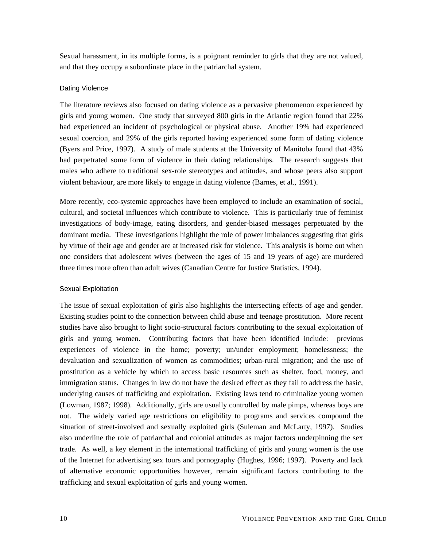<span id="page-9-0"></span>Sexual harassment, in its multiple forms, is a poignant reminder to girls that they are not valued, and that they occupy a subordinate place in the patriarchal system.

#### Dating Violence

The literature reviews also focused on dating violence as a pervasive phenomenon experienced by girls and young women. One study that surveyed 800 girls in the Atlantic region found that 22% had experienced an incident of psychological or physical abuse. Another 19% had experienced sexual coercion, and 29% of the girls reported having experienced some form of dating violence (Byers and Price, 1997). A study of male students at the University of Manitoba found that 43% had perpetrated some form of violence in their dating relationships. The research suggests that males who adhere to traditional sex-role stereotypes and attitudes, and whose peers also support violent behaviour, are more likely to engage in dating violence (Barnes, et al., 1991).

More recently, eco-systemic approaches have been employed to include an examination of social, cultural, and societal influences which contribute to violence. This is particularly true of feminist investigations of body-image, eating disorders, and gender-biased messages perpetuated by the dominant media. These investigations highlight the role of power imbalances suggesting that girls by virtue of their age and gender are at increased risk for violence. This analysis is borne out when one considers that adolescent wives (between the ages of 15 and 19 years of age) are murdered three times more often than adult wives (Canadian Centre for Justice Statistics, 1994).

#### Sexual Exploitation

The issue of sexual exploitation of girls also highlights the intersecting effects of age and gender. Existing studies point to the connection between child abuse and teenage prostitution. More recent studies have also brought to light socio-structural factors contributing to the sexual exploitation of girls and young women. Contributing factors that have been identified include: previous experiences of violence in the home; poverty; un/under employment; homelessness; the devaluation and sexualization of women as commodities; urban-rural migration; and the use of prostitution as a vehicle by which to access basic resources such as shelter, food, money, and immigration status. Changes in law do not have the desired effect as they fail to address the basic, underlying causes of trafficking and exploitation. Existing laws tend to criminalize young women (Lowman, 1987; 1998). Additionally, girls are usually controlled by male pimps, whereas boys are not. The widely varied age restrictions on eligibility to programs and services compound the situation of street-involved and sexually exploited girls (Suleman and McLarty, 1997). Studies also underline the role of patriarchal and colonial attitudes as major factors underpinning the sex trade. As well, a key element in the international trafficking of girls and young women is the use of the Internet for advertising sex tours and pornography (Hughes, 1996; 1997). Poverty and lack of alternative economic opportunities however, remain significant factors contributing to the trafficking and sexual exploitation of girls and young women.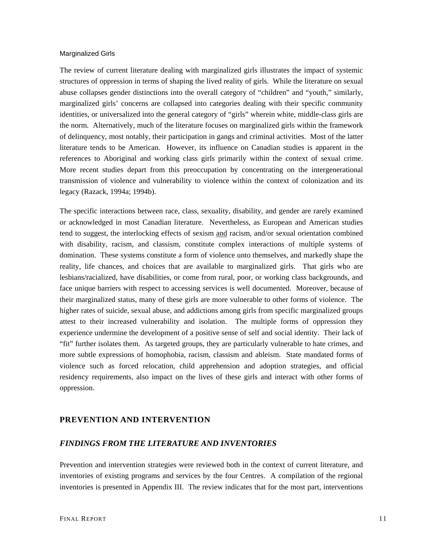#### <span id="page-10-0"></span>Marginalized Girls

The review of current literature dealing with marginalized girls illustrates the impact of systemic structures of oppression in terms of shaping the lived reality of girls. While the literature on sexual abuse collapses gender distinctions into the overall category of "children" and "youth," similarly, marginalized girls' concerns are collapsed into categories dealing with their specific community identities, or universalized into the general category of "girls" wherein white, middle-class girls are the norm. Alternatively, much of the literature focuses on marginalized girls within the framework of delinquency, most notably, their participation in gangs and criminal activities. Most of the latter literature tends to be American. However, its influence on Canadian studies is apparent in the references to Aboriginal and working class girls primarily within the context of sexual crime. More recent studies depart from this preoccupation by concentrating on the intergenerational transmission of violence and vulnerability to violence within the context of colonization and its legacy (Razack, 1994a; 1994b).

The specific interactions between race, class, sexuality, disability, and gender are rarely examined or acknowledged in most Canadian literature. Nevertheless, as European and American studies tend to suggest, the interlocking effects of sexism and racism, and/or sexual orientation combined with disability, racism, and classism, constitute complex interactions of multiple systems of domination. These systems constitute a form of violence unto themselves, and markedly shape the reality, life chances, and choices that are available to marginalized girls. That girls who are lesbians/racialized, have disabilities, or come from rural, poor, or working class backgrounds, and face unique barriers with respect to accessing services is well documented. Moreover, because of their marginalized status, many of these girls are more vulnerable to other forms of violence. The higher rates of suicide, sexual abuse, and addictions among girls from specific marginalized groups attest to their increased vulnerability and isolation. The multiple forms of oppression they experience undermine the development of a positive sense of self and social identity. Their lack of "fit" further isolates them. As targeted groups, they are particularly vulnerable to hate crimes, and more subtle expressions of homophobia, racism, classism and ableism. State mandated forms of violence such as forced relocation, child apprehension and adoption strategies, and official residency requirements, also impact on the lives of these girls and interact with other forms of oppression.

## **PREVENTION AND INTERVENTION**

#### *FINDINGS FROM THE LITERATURE AND INVENTORIES*

Prevention and intervention strategies were reviewed both in the context of current literature, and inventories of existing programs and services by the four Centres. A compilation of the regional inventories is presented in Appendix III. The review indicates that for the most part, interventions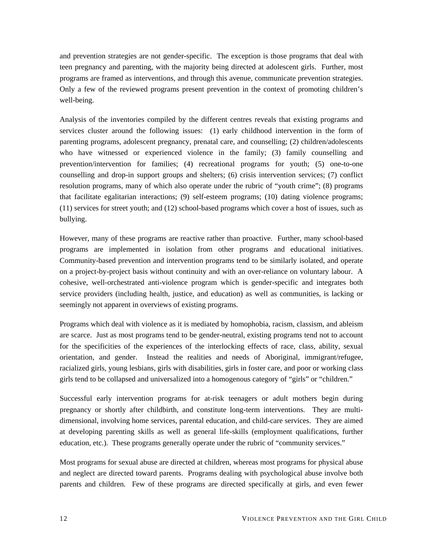and prevention strategies are not gender-specific. The exception is those programs that deal with teen pregnancy and parenting, with the majority being directed at adolescent girls. Further, most programs are framed as interventions, and through this avenue, communicate prevention strategies. Only a few of the reviewed programs present prevention in the context of promoting children's well-being.

Analysis of the inventories compiled by the different centres reveals that existing programs and services cluster around the following issues: (1) early childhood intervention in the form of parenting programs, adolescent pregnancy, prenatal care, and counselling; (2) children/adolescents who have witnessed or experienced violence in the family; (3) family counselling and prevention/intervention for families; (4) recreational programs for youth; (5) one-to-one counselling and drop-in support groups and shelters; (6) crisis intervention services; (7) conflict resolution programs, many of which also operate under the rubric of "youth crime"; (8) programs that facilitate egalitarian interactions; (9) self-esteem programs; (10) dating violence programs; (11) services for street youth; and (12) school-based programs which cover a host of issues, such as bullying.

However, many of these programs are reactive rather than proactive. Further, many school-based programs are implemented in isolation from other programs and educational initiatives. Community-based prevention and intervention programs tend to be similarly isolated, and operate on a project-by-project basis without continuity and with an over-reliance on voluntary labour. A cohesive, well-orchestrated anti-violence program which is gender-specific and integrates both service providers (including health, justice, and education) as well as communities, is lacking or seemingly not apparent in overviews of existing programs.

Programs which deal with violence as it is mediated by homophobia, racism, classism, and ableism are scarce. Just as most programs tend to be gender-neutral, existing programs tend not to account for the specificities of the experiences of the interlocking effects of race, class, ability, sexual orientation, and gender. Instead the realities and needs of Aboriginal, immigrant/refugee, racialized girls, young lesbians, girls with disabilities, girls in foster care, and poor or working class girls tend to be collapsed and universalized into a homogenous category of "girls" or "children."

Successful early intervention programs for at-risk teenagers or adult mothers begin during pregnancy or shortly after childbirth, and constitute long-term interventions. They are multidimensional, involving home services, parental education, and child-care services. They are aimed at developing parenting skills as well as general life-skills (employment qualifications, further education, etc.). These programs generally operate under the rubric of "community services."

Most programs for sexual abuse are directed at children, whereas most programs for physical abuse and neglect are directed toward parents. Programs dealing with psychological abuse involve both parents and children. Few of these programs are directed specifically at girls, and even fewer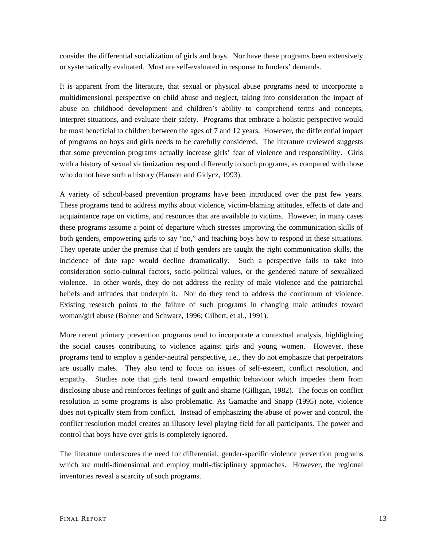consider the differential socialization of girls and boys. Nor have these programs been extensively or systematically evaluated. Most are self-evaluated in response to funders' demands.

It is apparent from the literature, that sexual or physical abuse programs need to incorporate a multidimensional perspective on child abuse and neglect, taking into consideration the impact of abuse on childhood development and children's ability to comprehend terms and concepts, interpret situations, and evaluate their safety. Programs that embrace a holistic perspective would be most beneficial to children between the ages of 7 and 12 years. However, the differential impact of programs on boys and girls needs to be carefully considered. The literature reviewed suggests that some prevention programs actually increase girls' fear of violence and responsibility. Girls with a history of sexual victimization respond differently to such programs, as compared with those who do not have such a history (Hanson and Gidycz, 1993).

A variety of school-based prevention programs have been introduced over the past few years. These programs tend to address myths about violence, victim-blaming attitudes, effects of date and acquaintance rape on victims, and resources that are available to victims. However, in many cases these programs assume a point of departure which stresses improving the communication skills of both genders, empowering girls to say "no," and teaching boys how to respond in these situations. They operate under the premise that if both genders are taught the right communication skills, the incidence of date rape would decline dramatically. Such a perspective fails to take into consideration socio-cultural factors, socio-political values, or the gendered nature of sexualized violence. In other words, they do not address the reality of male violence and the patriarchal beliefs and attitudes that underpin it. Nor do they tend to address the continuum of violence. Existing research points to the failure of such programs in changing male attitudes toward woman/girl abuse (Bohner and Schwarz, 1996; Gilbert, et al., 1991).

More recent primary prevention programs tend to incorporate a contextual analysis, highlighting the social causes contributing to violence against girls and young women. However, these programs tend to employ a gender-neutral perspective, i.e., they do not emphasize that perpetrators are usually males. They also tend to focus on issues of self-esteem, conflict resolution, and empathy. Studies note that girls tend toward empathic behaviour which impedes them from disclosing abuse and reinforces feelings of guilt and shame (Gilligan, 1982). The focus on conflict resolution in some programs is also problematic. As Gamache and Snapp (1995) note, violence does not typically stem from conflict. Instead of emphasizing the abuse of power and control, the conflict resolution model creates an illusory level playing field for all participants. The power and control that boys have over girls is completely ignored.

The literature underscores the need for differential, gender-specific violence prevention programs which are multi-dimensional and employ multi-disciplinary approaches. However, the regional inventories reveal a scarcity of such programs.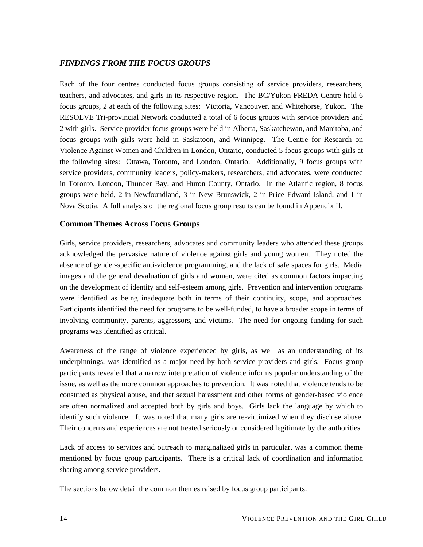# <span id="page-13-0"></span>*FINDINGS FROM THE FOCUS GROUPS*

Each of the four centres conducted focus groups consisting of service providers, researchers, teachers, and advocates, and girls in its respective region. The BC/Yukon FREDA Centre held 6 focus groups, 2 at each of the following sites: Victoria, Vancouver, and Whitehorse, Yukon. The RESOLVE Tri-provincial Network conducted a total of 6 focus groups with service providers and 2 with girls. Service provider focus groups were held in Alberta, Saskatchewan, and Manitoba, and focus groups with girls were held in Saskatoon, and Winnipeg. The Centre for Research on Violence Against Women and Children in London, Ontario, conducted 5 focus groups with girls at the following sites: Ottawa, Toronto, and London, Ontario. Additionally, 9 focus groups with service providers, community leaders, policy-makers, researchers, and advocates, were conducted in Toronto, London, Thunder Bay, and Huron County, Ontario. In the Atlantic region, 8 focus groups were held, 2 in Newfoundland, 3 in New Brunswick, 2 in Price Edward Island, and 1 in Nova Scotia. A full analysis of the regional focus group results can be found in Appendix II.

## **Common Themes Across Focus Groups**

Girls, service providers, researchers, advocates and community leaders who attended these groups acknowledged the pervasive nature of violence against girls and young women. They noted the absence of gender-specific anti-violence programming, and the lack of safe spaces for girls. Media images and the general devaluation of girls and women, were cited as common factors impacting on the development of identity and self-esteem among girls. Prevention and intervention programs were identified as being inadequate both in terms of their continuity, scope, and approaches. Participants identified the need for programs to be well-funded, to have a broader scope in terms of involving community, parents, aggressors, and victims. The need for ongoing funding for such programs was identified as critical.

Awareness of the range of violence experienced by girls, as well as an understanding of its underpinnings, was identified as a major need by both service providers and girls. Focus group participants revealed that a narrow interpretation of violence informs popular understanding of the issue, as well as the more common approaches to prevention. It was noted that violence tends to be construed as physical abuse, and that sexual harassment and other forms of gender-based violence are often normalized and accepted both by girls and boys. Girls lack the language by which to identify such violence. It was noted that many girls are re-victimized when they disclose abuse. Their concerns and experiences are not treated seriously or considered legitimate by the authorities.

Lack of access to services and outreach to marginalized girls in particular, was a common theme mentioned by focus group participants. There is a critical lack of coordination and information sharing among service providers.

The sections below detail the common themes raised by focus group participants.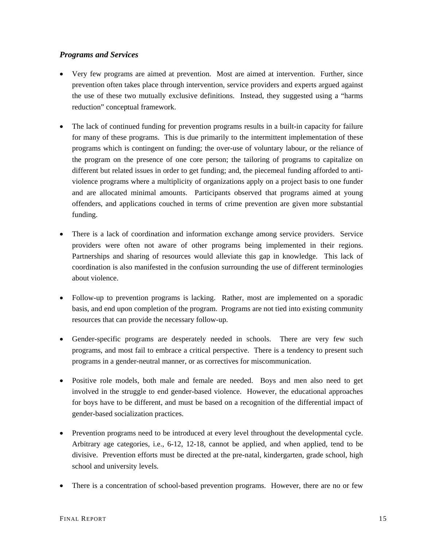# <span id="page-14-0"></span>*Programs and Services*

- Very few programs are aimed at prevention. Most are aimed at intervention. Further, since prevention often takes place through intervention, service providers and experts argued against the use of these two mutually exclusive definitions. Instead, they suggested using a "harms reduction" conceptual framework.
- The lack of continued funding for prevention programs results in a built-in capacity for failure for many of these programs. This is due primarily to the intermittent implementation of these programs which is contingent on funding; the over-use of voluntary labour, or the reliance of the program on the presence of one core person; the tailoring of programs to capitalize on different but related issues in order to get funding; and, the piecemeal funding afforded to antiviolence programs where a multiplicity of organizations apply on a project basis to one funder and are allocated minimal amounts. Participants observed that programs aimed at young offenders, and applications couched in terms of crime prevention are given more substantial funding.
- There is a lack of coordination and information exchange among service providers. Service providers were often not aware of other programs being implemented in their regions. Partnerships and sharing of resources would alleviate this gap in knowledge. This lack of coordination is also manifested in the confusion surrounding the use of different terminologies about violence.
- Follow-up to prevention programs is lacking. Rather, most are implemented on a sporadic basis, and end upon completion of the program. Programs are not tied into existing community resources that can provide the necessary follow-up.
- Gender-specific programs are desperately needed in schools. There are very few such programs, and most fail to embrace a critical perspective. There is a tendency to present such programs in a gender-neutral manner, or as correctives for miscommunication.
- Positive role models, both male and female are needed. Boys and men also need to get involved in the struggle to end gender-based violence. However, the educational approaches for boys have to be different, and must be based on a recognition of the differential impact of gender-based socialization practices.
- Prevention programs need to be introduced at every level throughout the developmental cycle. Arbitrary age categories, i.e., 6-12, 12-18, cannot be applied, and when applied, tend to be divisive. Prevention efforts must be directed at the pre-natal, kindergarten, grade school, high school and university levels.
- There is a concentration of school-based prevention programs. However, there are no or few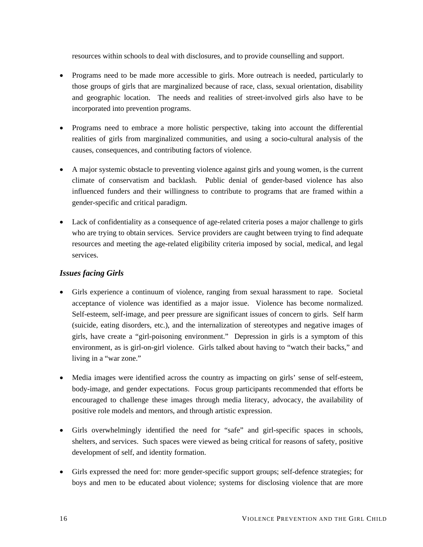<span id="page-15-0"></span>resources within schools to deal with disclosures, and to provide counselling and support.

- Programs need to be made more accessible to girls. More outreach is needed, particularly to those groups of girls that are marginalized because of race, class, sexual orientation, disability and geographic location. The needs and realities of street-involved girls also have to be incorporated into prevention programs.
- Programs need to embrace a more holistic perspective, taking into account the differential realities of girls from marginalized communities, and using a socio-cultural analysis of the causes, consequences, and contributing factors of violence.
- A major systemic obstacle to preventing violence against girls and young women, is the current climate of conservatism and backlash. Public denial of gender-based violence has also influenced funders and their willingness to contribute to programs that are framed within a gender-specific and critical paradigm.
- Lack of confidentiality as a consequence of age-related criteria poses a major challenge to girls who are trying to obtain services. Service providers are caught between trying to find adequate resources and meeting the age-related eligibility criteria imposed by social, medical, and legal services.

# *Issues facing Girls*

- Girls experience a continuum of violence, ranging from sexual harassment to rape. Societal acceptance of violence was identified as a major issue. Violence has become normalized. Self-esteem, self-image, and peer pressure are significant issues of concern to girls. Self harm (suicide, eating disorders, etc.), and the internalization of stereotypes and negative images of girls, have create a "girl-poisoning environment." Depression in girls is a symptom of this environment, as is girl-on-girl violence. Girls talked about having to "watch their backs," and living in a "war zone."
- Media images were identified across the country as impacting on girls' sense of self-esteem, body-image, and gender expectations. Focus group participants recommended that efforts be encouraged to challenge these images through media literacy, advocacy, the availability of positive role models and mentors, and through artistic expression.
- Girls overwhelmingly identified the need for "safe" and girl-specific spaces in schools, shelters, and services. Such spaces were viewed as being critical for reasons of safety, positive development of self, and identity formation.
- Girls expressed the need for: more gender-specific support groups; self-defence strategies; for boys and men to be educated about violence; systems for disclosing violence that are more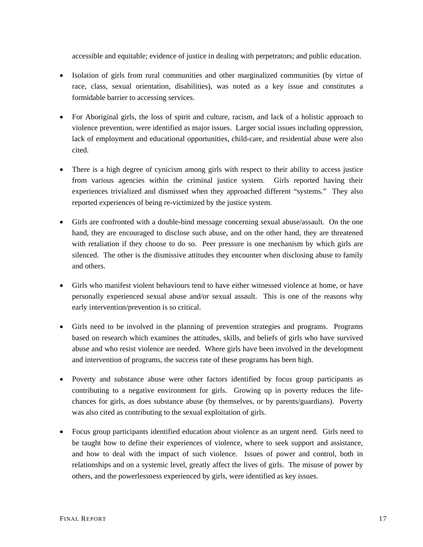accessible and equitable; evidence of justice in dealing with perpetrators; and public education.

- Isolation of girls from rural communities and other marginalized communities (by virtue of race, class, sexual orientation, disabilities), was noted as a key issue and constitutes a formidable barrier to accessing services.
- For Aboriginal girls, the loss of spirit and culture, racism, and lack of a holistic approach to violence prevention, were identified as major issues. Larger social issues including oppression, lack of employment and educational opportunities, child-care, and residential abuse were also cited.
- There is a high degree of cynicism among girls with respect to their ability to access justice from various agencies within the criminal justice system. Girls reported having their experiences trivialized and dismissed when they approached different "systems." They also reported experiences of being re-victimized by the justice system.
- Girls are confronted with a double-bind message concerning sexual abuse/assault. On the one hand, they are encouraged to disclose such abuse, and on the other hand, they are threatened with retaliation if they choose to do so. Peer pressure is one mechanism by which girls are silenced. The other is the dismissive attitudes they encounter when disclosing abuse to family and others.
- Girls who manifest violent behaviours tend to have either witnessed violence at home, or have personally experienced sexual abuse and/or sexual assault. This is one of the reasons why early intervention/prevention is so critical.
- Girls need to be involved in the planning of prevention strategies and programs. Programs based on research which examines the attitudes, skills, and beliefs of girls who have survived abuse and who resist violence are needed. Where girls have been involved in the development and intervention of programs, the success rate of these programs has been high.
- Poverty and substance abuse were other factors identified by focus group participants as contributing to a negative environment for girls. Growing up in poverty reduces the lifechances for girls, as does substance abuse (by themselves, or by parents/guardians). Poverty was also cited as contributing to the sexual exploitation of girls.
- Focus group participants identified education about violence as an urgent need. Girls need to be taught how to define their experiences of violence, where to seek support and assistance, and how to deal with the impact of such violence. Issues of power and control, both in relationships and on a systemic level, greatly affect the lives of girls. The misuse of power by others, and the powerlessness experienced by girls, were identified as key issues.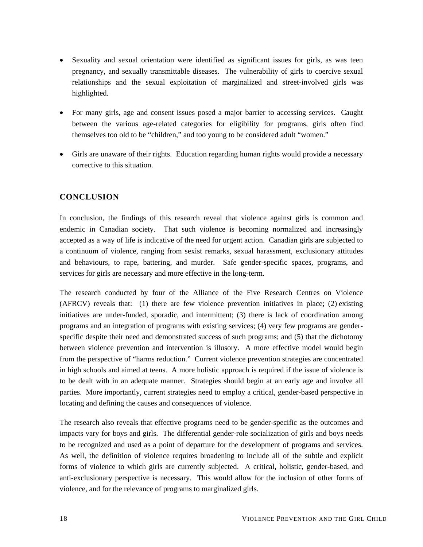- <span id="page-17-0"></span>• Sexuality and sexual orientation were identified as significant issues for girls, as was teen pregnancy, and sexually transmittable diseases. The vulnerability of girls to coercive sexual relationships and the sexual exploitation of marginalized and street-involved girls was highlighted.
- For many girls, age and consent issues posed a major barrier to accessing services. Caught between the various age-related categories for eligibility for programs, girls often find themselves too old to be "children," and too young to be considered adult "women."
- Girls are unaware of their rights. Education regarding human rights would provide a necessary corrective to this situation.

# **CONCLUSION**

In conclusion, the findings of this research reveal that violence against girls is common and endemic in Canadian society. That such violence is becoming normalized and increasingly accepted as a way of life is indicative of the need for urgent action. Canadian girls are subjected to a continuum of violence, ranging from sexist remarks, sexual harassment, exclusionary attitudes and behaviours, to rape, battering, and murder. Safe gender-specific spaces, programs, and services for girls are necessary and more effective in the long-term.

The research conducted by four of the Alliance of the Five Research Centres on Violence (AFRCV) reveals that: (1) there are few violence prevention initiatives in place; (2) existing initiatives are under-funded, sporadic, and intermittent; (3) there is lack of coordination among programs and an integration of programs with existing services; (4) very few programs are genderspecific despite their need and demonstrated success of such programs; and (5) that the dichotomy between violence prevention and intervention is illusory. A more effective model would begin from the perspective of "harms reduction." Current violence prevention strategies are concentrated in high schools and aimed at teens. A more holistic approach is required if the issue of violence is to be dealt with in an adequate manner. Strategies should begin at an early age and involve all parties. More importantly, current strategies need to employ a critical, gender-based perspective in locating and defining the causes and consequences of violence.

The research also reveals that effective programs need to be gender-specific as the outcomes and impacts vary for boys and girls. The differential gender-role socialization of girls and boys needs to be recognized and used as a point of departure for the development of programs and services. As well, the definition of violence requires broadening to include all of the subtle and explicit forms of violence to which girls are currently subjected. A critical, holistic, gender-based, and anti-exclusionary perspective is necessary. This would allow for the inclusion of other forms of violence, and for the relevance of programs to marginalized girls.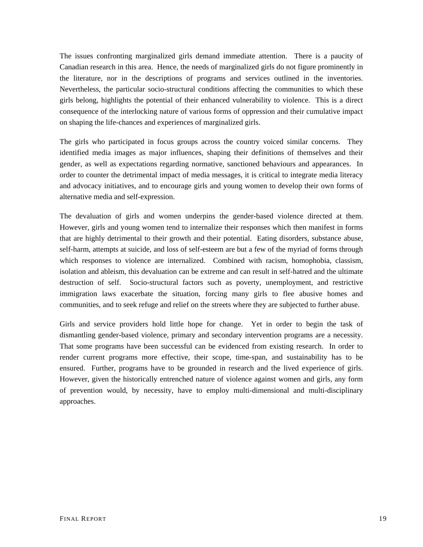The issues confronting marginalized girls demand immediate attention. There is a paucity of Canadian research in this area. Hence, the needs of marginalized girls do not figure prominently in the literature, nor in the descriptions of programs and services outlined in the inventories. Nevertheless, the particular socio-structural conditions affecting the communities to which these girls belong, highlights the potential of their enhanced vulnerability to violence. This is a direct consequence of the interlocking nature of various forms of oppression and their cumulative impact on shaping the life-chances and experiences of marginalized girls.

The girls who participated in focus groups across the country voiced similar concerns. They identified media images as major influences, shaping their definitions of themselves and their gender, as well as expectations regarding normative, sanctioned behaviours and appearances. In order to counter the detrimental impact of media messages, it is critical to integrate media literacy and advocacy initiatives, and to encourage girls and young women to develop their own forms of alternative media and self-expression.

The devaluation of girls and women underpins the gender-based violence directed at them. However, girls and young women tend to internalize their responses which then manifest in forms that are highly detrimental to their growth and their potential. Eating disorders, substance abuse, self-harm, attempts at suicide, and loss of self-esteem are but a few of the myriad of forms through which responses to violence are internalized. Combined with racism, homophobia, classism, isolation and ableism, this devaluation can be extreme and can result in self-hatred and the ultimate destruction of self. Socio-structural factors such as poverty, unemployment, and restrictive immigration laws exacerbate the situation, forcing many girls to flee abusive homes and communities, and to seek refuge and relief on the streets where they are subjected to further abuse.

Girls and service providers hold little hope for change. Yet in order to begin the task of dismantling gender-based violence, primary and secondary intervention programs are a necessity. That some programs have been successful can be evidenced from existing research. In order to render current programs more effective, their scope, time-span, and sustainability has to be ensured. Further, programs have to be grounded in research and the lived experience of girls. However, given the historically entrenched nature of violence against women and girls, any form of prevention would, by necessity, have to employ multi-dimensional and multi-disciplinary approaches.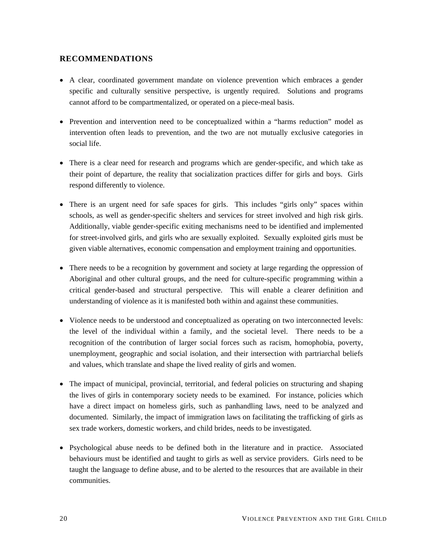# <span id="page-19-0"></span>**RECOMMENDATIONS**

- A clear, coordinated government mandate on violence prevention which embraces a gender specific and culturally sensitive perspective, is urgently required. Solutions and programs cannot afford to be compartmentalized, or operated on a piece-meal basis.
- Prevention and intervention need to be conceptualized within a "harms reduction" model as intervention often leads to prevention, and the two are not mutually exclusive categories in social life.
- There is a clear need for research and programs which are gender-specific, and which take as their point of departure, the reality that socialization practices differ for girls and boys. Girls respond differently to violence.
- There is an urgent need for safe spaces for girls. This includes "girls only" spaces within schools, as well as gender-specific shelters and services for street involved and high risk girls. Additionally, viable gender-specific exiting mechanisms need to be identified and implemented for street-involved girls, and girls who are sexually exploited. Sexually exploited girls must be given viable alternatives, economic compensation and employment training and opportunities.
- There needs to be a recognition by government and society at large regarding the oppression of Aboriginal and other cultural groups, and the need for culture-specific programming within a critical gender-based and structural perspective. This will enable a clearer definition and understanding of violence as it is manifested both within and against these communities.
- Violence needs to be understood and conceptualized as operating on two interconnected levels: the level of the individual within a family, and the societal level. There needs to be a recognition of the contribution of larger social forces such as racism, homophobia, poverty, unemployment, geographic and social isolation, and their intersection with partriarchal beliefs and values, which translate and shape the lived reality of girls and women.
- The impact of municipal, provincial, territorial, and federal policies on structuring and shaping the lives of girls in contemporary society needs to be examined. For instance, policies which have a direct impact on homeless girls, such as panhandling laws, need to be analyzed and documented. Similarly, the impact of immigration laws on facilitating the trafficking of girls as sex trade workers, domestic workers, and child brides, needs to be investigated.
- Psychological abuse needs to be defined both in the literature and in practice. Associated behaviours must be identified and taught to girls as well as service providers. Girls need to be taught the language to define abuse, and to be alerted to the resources that are available in their communities.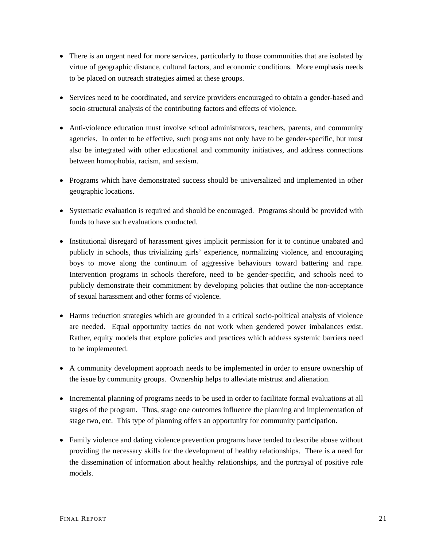- There is an urgent need for more services, particularly to those communities that are isolated by virtue of geographic distance, cultural factors, and economic conditions. More emphasis needs to be placed on outreach strategies aimed at these groups.
- Services need to be coordinated, and service providers encouraged to obtain a gender-based and socio-structural analysis of the contributing factors and effects of violence.
- Anti-violence education must involve school administrators, teachers, parents, and community agencies. In order to be effective, such programs not only have to be gender-specific, but must also be integrated with other educational and community initiatives, and address connections between homophobia, racism, and sexism.
- Programs which have demonstrated success should be universalized and implemented in other geographic locations.
- Systematic evaluation is required and should be encouraged. Programs should be provided with funds to have such evaluations conducted.
- Institutional disregard of harassment gives implicit permission for it to continue unabated and publicly in schools, thus trivializing girls' experience, normalizing violence, and encouraging boys to move along the continuum of aggressive behaviours toward battering and rape. Intervention programs in schools therefore, need to be gender-specific, and schools need to publicly demonstrate their commitment by developing policies that outline the non-acceptance of sexual harassment and other forms of violence.
- Harms reduction strategies which are grounded in a critical socio-political analysis of violence are needed. Equal opportunity tactics do not work when gendered power imbalances exist. Rather, equity models that explore policies and practices which address systemic barriers need to be implemented.
- A community development approach needs to be implemented in order to ensure ownership of the issue by community groups. Ownership helps to alleviate mistrust and alienation.
- Incremental planning of programs needs to be used in order to facilitate formal evaluations at all stages of the program. Thus, stage one outcomes influence the planning and implementation of stage two, etc. This type of planning offers an opportunity for community participation.
- Family violence and dating violence prevention programs have tended to describe abuse without providing the necessary skills for the development of healthy relationships. There is a need for the dissemination of information about healthy relationships, and the portrayal of positive role models.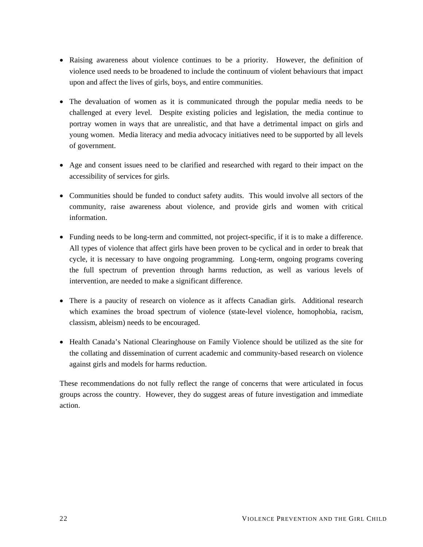- Raising awareness about violence continues to be a priority. However, the definition of violence used needs to be broadened to include the continuum of violent behaviours that impact upon and affect the lives of girls, boys, and entire communities.
- The devaluation of women as it is communicated through the popular media needs to be challenged at every level. Despite existing policies and legislation, the media continue to portray women in ways that are unrealistic, and that have a detrimental impact on girls and young women. Media literacy and media advocacy initiatives need to be supported by all levels of government.
- Age and consent issues need to be clarified and researched with regard to their impact on the accessibility of services for girls.
- Communities should be funded to conduct safety audits. This would involve all sectors of the community, raise awareness about violence, and provide girls and women with critical information.
- Funding needs to be long-term and committed, not project-specific, if it is to make a difference. All types of violence that affect girls have been proven to be cyclical and in order to break that cycle, it is necessary to have ongoing programming. Long-term, ongoing programs covering the full spectrum of prevention through harms reduction, as well as various levels of intervention, are needed to make a significant difference.
- There is a paucity of research on violence as it affects Canadian girls. Additional research which examines the broad spectrum of violence (state-level violence, homophobia, racism, classism, ableism) needs to be encouraged.
- Health Canada's National Clearinghouse on Family Violence should be utilized as the site for the collating and dissemination of current academic and community-based research on violence against girls and models for harms reduction.

These recommendations do not fully reflect the range of concerns that were articulated in focus groups across the country. However, they do suggest areas of future investigation and immediate action.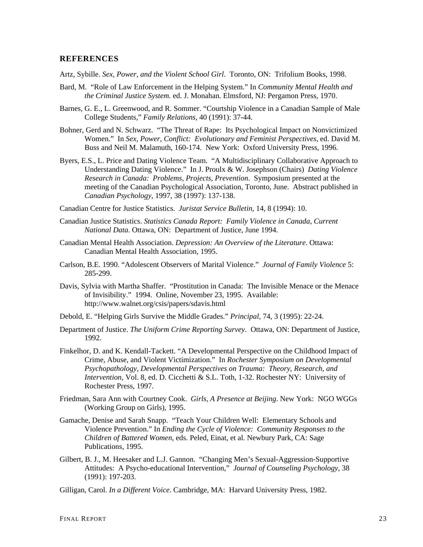#### <span id="page-22-0"></span>**REFERENCES**

Artz, Sybille. *Sex, Power, and the Violent School Girl*. Toronto, ON: Trifolium Books, 1998.

- Bard, M. "Role of Law Enforcement in the Helping System." In *Community Mental Health and the Criminal Justice System.* ed. J. Monahan. Elmsford, NJ: Pergamon Press, 1970.
- Barnes, G. E., L. Greenwood, and R. Sommer. "Courtship Violence in a Canadian Sample of Male College Students," *Family Relations*, 40 (1991): 37-44.
- Bohner, Gerd and N. Schwarz. "The Threat of Rape: Its Psychological Impact on Nonvictimized Women." In *Sex, Power, Conflict: Evolutionary and Feminist Perspectives,* ed. David M. Buss and Neil M. Malamuth, 160-174. New York: Oxford University Press, 1996.
- Byers, E.S., L. Price and Dating Violence Team. "A Multidisciplinary Collaborative Approach to Understanding Dating Violence." In J. Proulx & W. Josephson (Chairs) *Dating Violence Research in Canada: Problems, Projects, Prevention*. Symposium presented at the meeting of the Canadian Psychological Association, Toronto, June. Abstract published in *Canadian Psychology*, 1997, 38 (1997): 137-138.
- Canadian Centre for Justice Statistics. *Juristat Service Bulletin*, 14, 8 (1994): 10.
- Canadian Justice Statistics. *Statistics Canada Report: Family Violence in Canada, Current National Data*. Ottawa, ON: Department of Justice, June 1994.
- Canadian Mental Health Association. *Depression: An Overview of the Literature*. Ottawa: Canadian Mental Health Association, 1995.
- Carlson, B.E. 1990. "Adolescent Observers of Marital Violence." *Journal of Family Violence* 5: 285-299.
- Davis, Sylvia with Martha Shaffer. "Prostitution in Canada: The Invisible Menace or the Menace of Invisibility." 1994. Online, November 23, 1995. Available: http://www.walnet.org/csis/papers/sdavis.html
- Debold, E. "Helping Girls Survive the Middle Grades." *Principal*, 74, 3 (1995): 22-24.
- Department of Justice. *The Uniform Crime Reporting Survey*. Ottawa, ON: Department of Justice, 1992.
- Finkelhor, D. and K. Kendall-Tackett. "A Developmental Perspective on the Childhood Impact of Crime, Abuse, and Violent Victimization." In *Rochester Symposium on Developmental Psychopathology, Developmental Perspectives on Trauma: Theory, Research, and Intervention*, Vol. 8, ed. D. Cicchetti & S.L. Toth, 1-32. Rochester NY: University of Rochester Press, 1997.
- Friedman, Sara Ann with Courtney Cook. *Girls, A Presence at Beijing*. New York: NGO WGGs (Working Group on Girls), 1995.
- Gamache, Denise and Sarah Snapp. "Teach Your Children Well: Elementary Schools and Violence Prevention." In *Ending the Cycle of Violence: Community Responses to the Children of Battered Women,* eds. Peled, Einat, et al. Newbury Park, CA: Sage Publications, 1995.
- Gilbert, B. J., M. Heesaker and L.J. Gannon. "Changing Men's Sexual-Aggression-Supportive Attitudes: A Psycho-educational Intervention," *Journal of Counseling Psychology*, 38 (1991): 197-203.
- Gilligan, Carol. *In a Different Voice*. Cambridge, MA: Harvard University Press, 1982.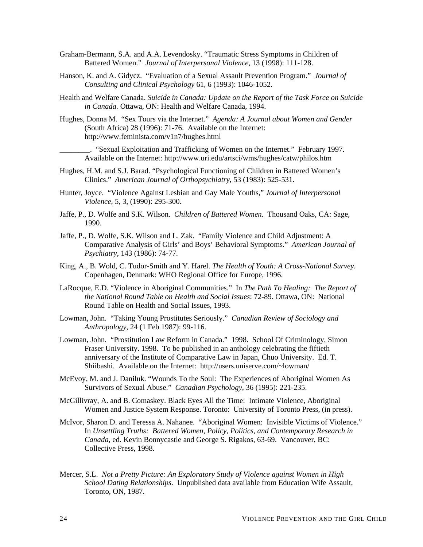- Graham-Bermann, S.A. and A.A. Levendosky. "Traumatic Stress Symptoms in Children of Battered Women." *Journal of Interpersonal Violence*, 13 (1998): 111-128.
- Hanson, K. and A. Gidycz. "Evaluation of a Sexual Assault Prevention Program." *Journal of Consulting and Clinical Psychology* 61, 6 (1993): 1046-1052.
- Health and Welfare Canada. *Suicide in Canada: Update on the Report of the Task Force on Suicide in Canada.* Ottawa, ON: Health and Welfare Canada, 1994.
- Hughes, Donna M. "Sex Tours via the Internet." *Agenda: A Journal about Women and Gender* (South Africa) 28 (1996): 71-76. Available on the Internet: http://www.feminista.com/v1n7/hughes.html

\_\_\_\_\_\_\_\_. "Sexual Exploitation and Trafficking of Women on the Internet." February 1997. Available on the Internet: http://www.uri.edu/artsci/wms/hughes/catw/philos.htm

- Hughes, H.M. and S.J. Barad. "Psychological Functioning of Children in Battered Women's Clinics." *American Journal of Orthopsychiatry*, 53 (1983): 525-531.
- Hunter, Joyce. "Violence Against Lesbian and Gay Male Youths," *Journal of Interpersonal Violence*, 5, 3, (1990): 295-300.
- Jaffe, P., D. Wolfe and S.K. Wilson. *Children of Battered Women.* Thousand Oaks, CA: Sage, 1990.
- Jaffe, P., D. Wolfe, S.K. Wilson and L. Zak. "Family Violence and Child Adjustment: A Comparative Analysis of Girls' and Boys' Behavioral Symptoms." *American Journal of Psychiatry*, 143 (1986): 74-77.
- King, A., B. Wold, C. Tudor-Smith and Y. Harel. *The Health of Youth: A Cross-National Survey.*  Copenhagen, Denmark: WHO Regional Office for Europe, 1996.
- LaRocque, E.D. "Violence in Aboriginal Communities." In *The Path To Healing: The Report of the National Round Table on Health and Social Issues*: 72-89. Ottawa, ON: National Round Table on Health and Social Issues, 1993.
- Lowman, John. "Taking Young Prostitutes Seriously." *Canadian Review of Sociology and Anthropology*, 24 (1 Feb 1987): 99-116.
- Lowman, John. "Prostitution Law Reform in Canada." 1998. School Of Criminology, Simon Fraser University. 1998. To be published in an anthology celebrating the fiftieth anniversary of the Institute of Comparative Law in Japan, Chuo University. Ed. T. Shiibashi. Available on the Internet: http://users.uniserve.com/~lowman/
- McEvoy, M. and J. Daniluk. "Wounds To the Soul: The Experiences of Aboriginal Women As Survivors of Sexual Abuse." *Canadian Psychology*, 36 (1995): 221-235.
- McGillivray, A. and B. Comaskey. Black Eyes All the Time: Intimate Violence, Aboriginal Women and Justice System Response. Toronto: University of Toronto Press, (in press).
- McIvor, Sharon D. and Teressa A. Nahanee. "Aboriginal Women: Invisible Victims of Violence." In *Unsettling Truths: Battered Women, Policy, Politics, and Contemporary Research in Canada*, ed. Kevin Bonnycastle and George S. Rigakos, 63-69. Vancouver, BC: Collective Press, 1998.
- Mercer, S.L. *Not a Pretty Picture: An Exploratory Study of Violence against Women in High School Dating Relationships.* Unpublished data available from Education Wife Assault, Toronto, ON, 1987.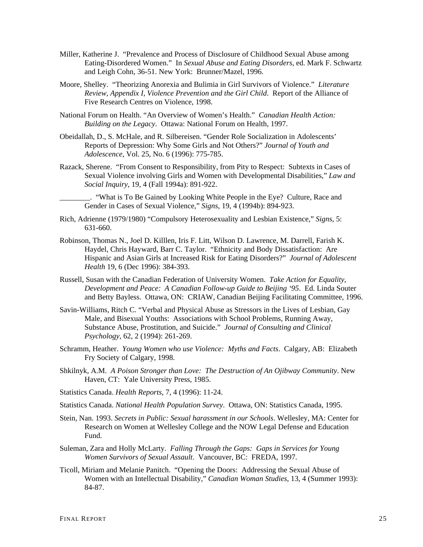- Miller, Katherine J. "Prevalence and Process of Disclosure of Childhood Sexual Abuse among Eating-Disordered Women." In *Sexual Abuse and Eating Disorders*, ed. Mark F. Schwartz and Leigh Cohn, 36-51. New York: Brunner/Mazel, 1996.
- Moore, Shelley. "Theorizing Anorexia and Bulimia in Girl Survivors of Violence." *Literature Review, Appendix I, Violence Prevention and the Girl Child*. Report of the Alliance of Five Research Centres on Violence, 1998.
- National Forum on Health. "An Overview of Women's Health." *Canadian Health Action: Building on the Legacy*. Ottawa: National Forum on Health, 1997.
- Obeidallah, D., S. McHale, and R. Silbereisen. "Gender Role Socialization in Adolescents' Reports of Depression: Why Some Girls and Not Others?" *Journal of Youth and Adolescence*, Vol. 25, No. 6 (1996): 775-785.
- Razack, Sherene. "From Consent to Responsibility, from Pity to Respect: Subtexts in Cases of Sexual Violence involving Girls and Women with Developmental Disabilities," *Law and Social Inquiry*, 19, 4 (Fall 1994a): 891-922.

\_\_\_\_\_\_\_\_. "What is To Be Gained by Looking White People in the Eye? Culture, Race and Gender in Cases of Sexual Violence," *Signs*, 19, 4 (1994b): 894-923.

- Rich, Adrienne (1979/1980) "Compulsory Heterosexuality and Lesbian Existence," *Signs*, 5: 631-660.
- Robinson, Thomas N., Joel D. Killlen, Iris F. Litt, Wilson D. Lawrence, M. Darrell, Farish K. Haydel, Chris Hayward, Barr C. Taylor. "Ethnicity and Body Dissatisfaction: Are Hispanic and Asian Girls at Increased Risk for Eating Disorders?" *Journal of Adolescent Health* 19, 6 (Dec 1996): 384-393.
- Russell, Susan with the Canadian Federation of University Women. *Take Action for Equality, Development and Peace: A Canadian Follow-up Guide to Beijing '95*. Ed. Linda Souter and Betty Bayless. Ottawa, ON: CRIAW, Canadian Beijing Facilitating Committee, 1996.
- Savin-Williams, Ritch C. "Verbal and Physical Abuse as Stressors in the Lives of Lesbian, Gay Male, and Bisexual Youths: Associations with School Problems, Running Away, Substance Abuse, Prostitution, and Suicide." *Journal of Consulting and Clinical Psychology*, 62, 2 (1994): 261-269.
- Schramm, Heather. *Young Women who use Violence: Myths and Facts*. Calgary, AB: Elizabeth Fry Society of Calgary, 1998.
- Shkilnyk, A.M. *A Poison Stronger than Love: The Destruction of An Ojibway Community*. New Haven, CT: Yale University Press, 1985.
- Statistics Canada. *Health Reports*, 7, 4 (1996): 11-24.
- Statistics Canada. *National Health Population Survey*. Ottawa, ON: Statistics Canada, 1995.
- Stein, Nan. 1993. *Secrets in Public: Sexual harassment in our Schools*. Wellesley, MA: Center for Research on Women at Wellesley College and the NOW Legal Defense and Education Fund.
- Suleman, Zara and Holly McLarty. *Falling Through the Gaps: Gaps in Services for Young Women Survivors of Sexual Assault*. Vancouver, BC: FREDA, 1997.
- Ticoll, Miriam and Melanie Panitch. "Opening the Doors: Addressing the Sexual Abuse of Women with an Intellectual Disability," *Canadian Woman Studies*, 13, 4 (Summer 1993): 84-87.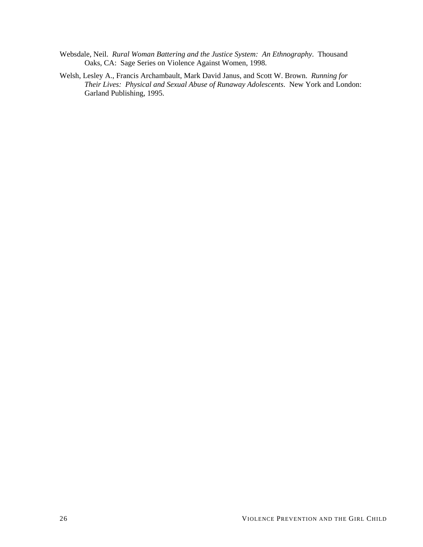- Websdale, Neil. *Rural Woman Battering and the Justice System: An Ethnography*. Thousand Oaks, CA: Sage Series on Violence Against Women, 1998.
- Welsh, Lesley A., Francis Archambault, Mark David Janus, and Scott W. Brown. *Running for Their Lives: Physical and Sexual Abuse of Runaway Adolescents*. New York and London: Garland Publishing, 1995.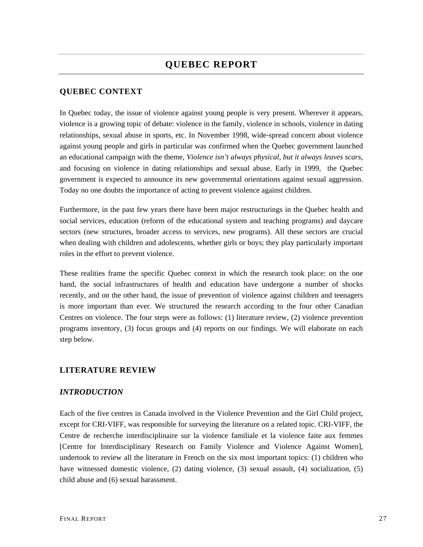# <span id="page-26-0"></span>**QUEBEC CONTEXT**

In Quebec today, the issue of violence against young people is very present. Wherever it appears, violence is a growing topic of debate: violence in the family, violence in schools, violence in dating relationships, sexual abuse in sports, etc. In November 1998, wide-spread concern about violence against young people and girls in particular was confirmed when the Quebec government launched an educational campaign with the theme, *Violence isn't always physical, but it always leaves scars*, and focusing on violence in dating relationships and sexual abuse. Early in 1999, the Quebec government is expected to announce its new governmental orientations against sexual aggression. Today no one doubts the importance of acting to prevent violence against children.

Furthermore, in the past few years there have been major restructurings in the Quebec health and social services, education (reform of the educational system and teaching programs) and daycare sectors (new structures, broader access to services, new programs). All these sectors are crucial when dealing with children and adolescents, whether girls or boys; they play particularly important roles in the effort to prevent violence.

These realities frame the specific Quebec context in which the research took place: on the one hand, the social infrastructures of health and education have undergone a number of shocks recently, and on the other hand, the issue of prevention of violence against children and teenagers is more important than ever. We structured the research according to the four other Canadian Centres on violence. The four steps were as follows: (1) literature review, (2) violence prevention programs inventory, (3) focus groups and (4) reports on our findings. We will elaborate on each step below.

# **LITERATURE REVIEW**

# *INTRODUCTION*

Each of the five centres in Canada involved in the Violence Prevention and the Girl Child project, except for CRI-VIFF, was responsible for surveying the literature on a related topic. CRI-VIFF, the Centre de recherche interdisciplinaire sur la violence familiale et la violence faite aux femmes [Centre for Interdisciplinary Research on Family Violence and Violence Against Women], undertook to review all the literature in French on the six most important topics: (1) children who have witnessed domestic violence, (2) dating violence, (3) sexual assault, (4) socialization, (5) child abuse and (6) sexual harassment.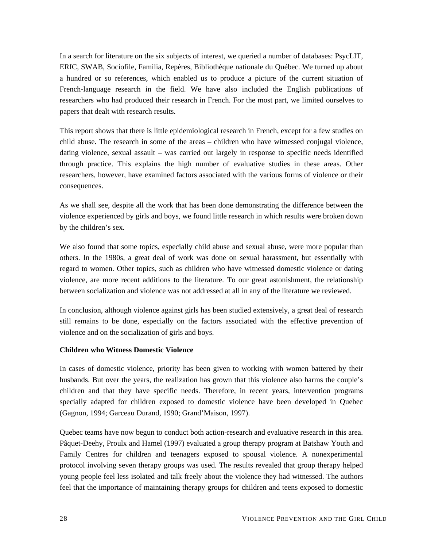<span id="page-27-0"></span>In a search for literature on the six subjects of interest, we queried a number of databases: PsycLIT, ERIC, SWAB, Sociofile, Familia, Repères, Bibliothèque nationale du Québec. We turned up about a hundred or so references, which enabled us to produce a picture of the current situation of French-language research in the field. We have also included the English publications of researchers who had produced their research in French. For the most part, we limited ourselves to papers that dealt with research results.

This report shows that there is little epidemiological research in French, except for a few studies on child abuse. The research in some of the areas – children who have witnessed conjugal violence, dating violence, sexual assault – was carried out largely in response to specific needs identified through practice. This explains the high number of evaluative studies in these areas. Other researchers, however, have examined factors associated with the various forms of violence or their consequences.

As we shall see, despite all the work that has been done demonstrating the difference between the violence experienced by girls and boys, we found little research in which results were broken down by the children's sex.

We also found that some topics, especially child abuse and sexual abuse, were more popular than others. In the 1980s, a great deal of work was done on sexual harassment, but essentially with regard to women. Other topics, such as children who have witnessed domestic violence or dating violence, are more recent additions to the literature. To our great astonishment, the relationship between socialization and violence was not addressed at all in any of the literature we reviewed.

In conclusion, although violence against girls has been studied extensively, a great deal of research still remains to be done, especially on the factors associated with the effective prevention of violence and on the socialization of girls and boys.

### **Children who Witness Domestic Violence**

In cases of domestic violence, priority has been given to working with women battered by their husbands. But over the years, the realization has grown that this violence also harms the couple's children and that they have specific needs. Therefore, in recent years, intervention programs specially adapted for children exposed to domestic violence have been developed in Quebec (Gagnon, 1994; Garceau Durand, 1990; Grand'Maison, 1997).

Quebec teams have now begun to conduct both action-research and evaluative research in this area. Pâquet-Deehy, Proulx and Hamel (1997) evaluated a group therapy program at Batshaw Youth and Family Centres for children and teenagers exposed to spousal violence. A nonexperimental protocol involving seven therapy groups was used. The results revealed that group therapy helped young people feel less isolated and talk freely about the violence they had witnessed. The authors feel that the importance of maintaining therapy groups for children and teens exposed to domestic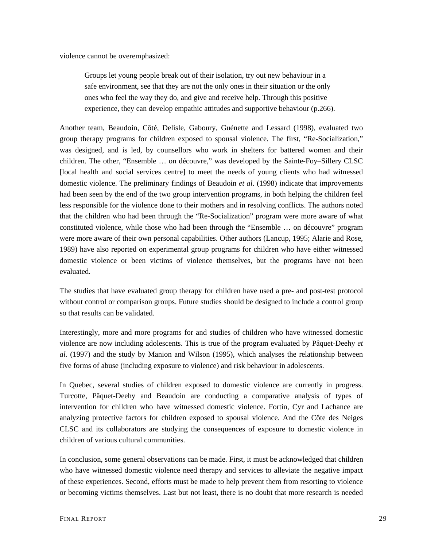violence cannot be overemphasized:

Groups let young people break out of their isolation, try out new behaviour in a safe environment, see that they are not the only ones in their situation or the only ones who feel the way they do, and give and receive help. Through this positive experience, they can develop empathic attitudes and supportive behaviour (p.266).

Another team, Beaudoin, Côté, Delisle, Gaboury, Guénette and Lessard (1998), evaluated two group therapy programs for children exposed to spousal violence. The first, "Re-Socialization," was designed, and is led, by counsellors who work in shelters for battered women and their children. The other, "Ensemble … on découvre," was developed by the Sainte-Foy–Sillery CLSC [local health and social services centre] to meet the needs of young clients who had witnessed domestic violence. The preliminary findings of Beaudoin *et al*. (1998) indicate that improvements had been seen by the end of the two group intervention programs, in both helping the children feel less responsible for the violence done to their mothers and in resolving conflicts. The authors noted that the children who had been through the "Re-Socialization" program were more aware of what constituted violence, while those who had been through the "Ensemble … on découvre" program were more aware of their own personal capabilities. Other authors (Lancup, 1995; Alarie and Rose, 1989) have also reported on experimental group programs for children who have either witnessed domestic violence or been victims of violence themselves, but the programs have not been evaluated.

The studies that have evaluated group therapy for children have used a pre- and post-test protocol without control or comparison groups. Future studies should be designed to include a control group so that results can be validated.

Interestingly, more and more programs for and studies of children who have witnessed domestic violence are now including adolescents. This is true of the program evaluated by Pâquet-Deehy *et al.* (1997) and the study by Manion and Wilson (1995), which analyses the relationship between five forms of abuse (including exposure to violence) and risk behaviour in adolescents.

In Quebec, several studies of children exposed to domestic violence are currently in progress. Turcotte, Pâquet-Deehy and Beaudoin are conducting a comparative analysis of types of intervention for children who have witnessed domestic violence. Fortin, Cyr and Lachance are analyzing protective factors for children exposed to spousal violence. And the Côte des Neiges CLSC and its collaborators are studying the consequences of exposure to domestic violence in children of various cultural communities.

In conclusion, some general observations can be made. First, it must be acknowledged that children who have witnessed domestic violence need therapy and services to alleviate the negative impact of these experiences. Second, efforts must be made to help prevent them from resorting to violence or becoming victims themselves. Last but not least, there is no doubt that more research is needed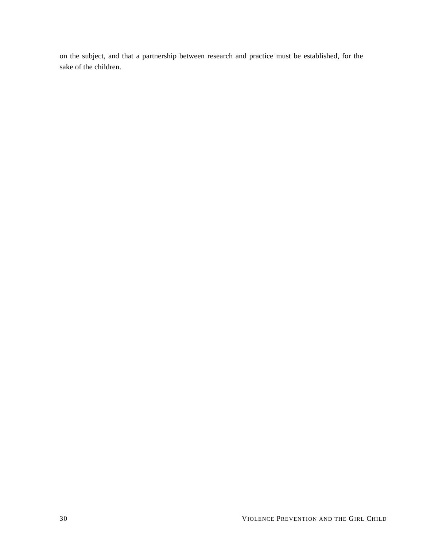on the subject, and that a partnership between research and practice must be established, for the sake of the children.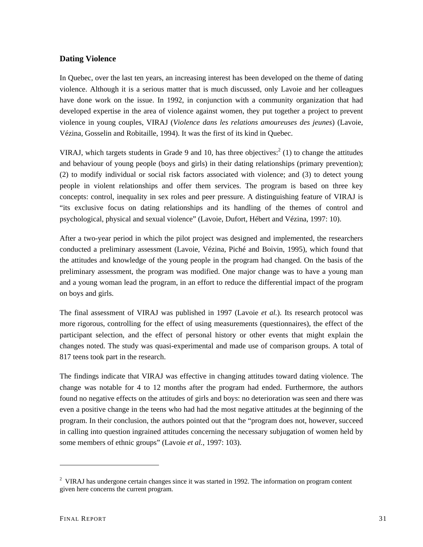## <span id="page-30-0"></span>**Dating Violence**

In Quebec, over the last ten years, an increasing interest has been developed on the theme of dating violence. Although it is a serious matter that is much discussed, only Lavoie and her colleagues have done work on the issue. In 1992, in conjunction with a community organization that had developed expertise in the area of violence against women, they put together a project to prevent violence in young couples, VIRAJ (*Violence dans les relations amoureuses des jeunes*) (Lavoie, Vézina, Gosselin and Robitaille, 1994). It was the first of its kind in Quebec.

VIRAJ, which targets students in Grade 9 and 10, has three objectives:<sup>[2](#page-30-1)</sup> (1) to change the attitudes and behaviour of young people (boys and girls) in their dating relationships (primary prevention); (2) to modify individual or social risk factors associated with violence; and (3) to detect young people in violent relationships and offer them services. The program is based on three key concepts: control, inequality in sex roles and peer pressure. A distinguishing feature of VIRAJ is "its exclusive focus on dating relationships and its handling of the themes of control and psychological, physical and sexual violence" (Lavoie, Dufort, Hébert and Vézina, 1997: 10).

After a two-year period in which the pilot project was designed and implemented, the researchers conducted a preliminary assessment (Lavoie, Vézina, Piché and Boivin, 1995), which found that the attitudes and knowledge of the young people in the program had changed. On the basis of the preliminary assessment, the program was modified. One major change was to have a young man and a young woman lead the program, in an effort to reduce the differential impact of the program on boys and girls.

The final assessment of VIRAJ was published in 1997 (Lavoie *et al.*). Its research protocol was more rigorous, controlling for the effect of using measurements (questionnaires), the effect of the participant selection, and the effect of personal history or other events that might explain the changes noted. The study was quasi-experimental and made use of comparison groups. A total of 817 teens took part in the research.

The findings indicate that VIRAJ was effective in changing attitudes toward dating violence. The change was notable for 4 to 12 months after the program had ended. Furthermore, the authors found no negative effects on the attitudes of girls and boys: no deterioration was seen and there was even a positive change in the teens who had had the most negative attitudes at the beginning of the program. In their conclusion, the authors pointed out that the "program does not, however, succeed in calling into question ingrained attitudes concerning the necessary subjugation of women held by some members of ethnic groups" (Lavoie *et al.*, 1997: 103).

 $\overline{a}$ 

<span id="page-30-1"></span> $2$  VIRAJ has undergone certain changes since it was started in 1992. The information on program content given here concerns the current program.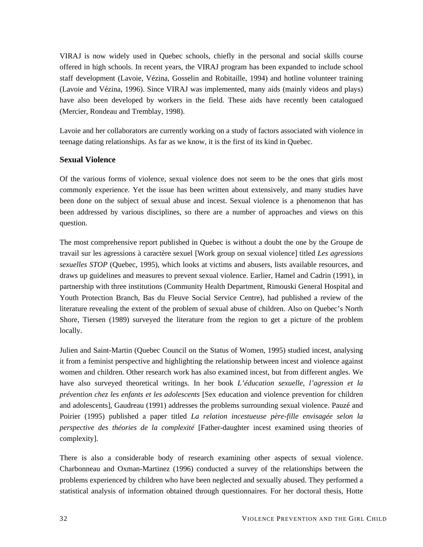<span id="page-31-0"></span>VIRAJ is now widely used in Quebec schools, chiefly in the personal and social skills course offered in high schools. In recent years, the VIRAJ program has been expanded to include school staff development (Lavoie, Vézina, Gosselin and Robitaille, 1994) and hotline volunteer training (Lavoie and Vézina, 1996). Since VIRAJ was implemented, many aids (mainly videos and plays) have also been developed by workers in the field. These aids have recently been catalogued (Mercier, Rondeau and Tremblay, 1998).

Lavoie and her collaborators are currently working on a study of factors associated with violence in teenage dating relationships. As far as we know, it is the first of its kind in Quebec.

### **Sexual Violence**

Of the various forms of violence, sexual violence does not seem to be the ones that girls most commonly experience. Yet the issue has been written about extensively, and many studies have been done on the subject of sexual abuse and incest. Sexual violence is a phenomenon that has been addressed by various disciplines, so there are a number of approaches and views on this question.

The most comprehensive report published in Quebec is without a doubt the one by the Groupe de travail sur les agressions à caractère sexuel [Work group on sexual violence] titled *Les agressions sexuelles STOP* (Quebec, 1995), which looks at victims and abusers, lists available resources, and draws up guidelines and measures to prevent sexual violence. Earlier, Hamel and Cadrin (1991), in partnership with three institutions (Community Health Department, Rimouski General Hospital and Youth Protection Branch, Bas du Fleuve Social Service Centre), had published a review of the literature revealing the extent of the problem of sexual abuse of children. Also on Quebec's North Shore, Tiersen (1989) surveyed the literature from the region to get a picture of the problem locally.

Julien and Saint-Martin (Quebec Council on the Status of Women, 1995) studied incest, analysing it from a feminist perspective and highlighting the relationship between incest and violence against women and children. Other research work has also examined incest, but from different angles. We have also surveyed theoretical writings. In her book *L'éducation sexuelle, l'agression et la prévention chez les enfants et les adolescents* [Sex education and violence prevention for children and adolescents], Gaudreau (1991) addresses the problems surrounding sexual violence. Pauzé and Poirier (1995) published a paper titled *La relation incestueuse père-fille envisagée selon la perspective des théories de la complexité* [Father-daughter incest examined using theories of complexity].

There is also a considerable body of research examining other aspects of sexual violence. Charbonneau and Oxman-Martinez (1996) conducted a survey of the relationships between the problems experienced by children who have been neglected and sexually abused. They performed a statistical analysis of information obtained through questionnaires. For her doctoral thesis, Hotte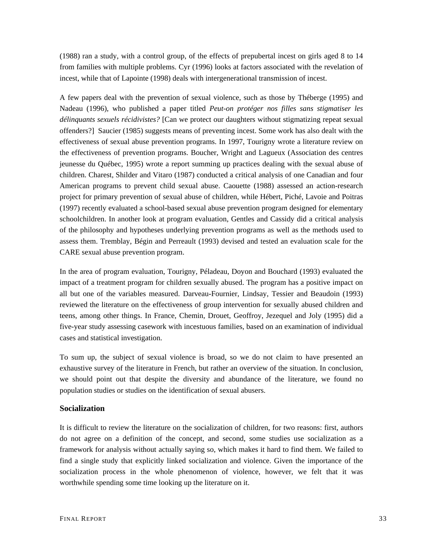<span id="page-32-0"></span>(1988) ran a study, with a control group, of the effects of prepubertal incest on girls aged 8 to 14 from families with multiple problems. Cyr (1996) looks at factors associated with the revelation of incest, while that of Lapointe (1998) deals with intergenerational transmission of incest.

A few papers deal with the prevention of sexual violence, such as those by Théberge (1995) and Nadeau (1996), who published a paper titled *Peut-on protéger nos filles sans stigmatiser les délinquants sexuels récidivistes?* [Can we protect our daughters without stigmatizing repeat sexual offenders?] Saucier (1985) suggests means of preventing incest. Some work has also dealt with the effectiveness of sexual abuse prevention programs. In 1997, Tourigny wrote a literature review on the effectiveness of prevention programs. Boucher, Wright and Lagueux (Association des centres jeunesse du Québec, 1995) wrote a report summing up practices dealing with the sexual abuse of children. Charest, Shilder and Vitaro (1987) conducted a critical analysis of one Canadian and four American programs to prevent child sexual abuse. Caouette (1988) assessed an action-research project for primary prevention of sexual abuse of children, while Hébert, Piché, Lavoie and Poitras (1997) recently evaluated a school-based sexual abuse prevention program designed for elementary schoolchildren. In another look at program evaluation, Gentles and Cassidy did a critical analysis of the philosophy and hypotheses underlying prevention programs as well as the methods used to assess them. Tremblay, Bégin and Perreault (1993) devised and tested an evaluation scale for the CARE sexual abuse prevention program.

In the area of program evaluation, Tourigny, Péladeau, Doyon and Bouchard (1993) evaluated the impact of a treatment program for children sexually abused. The program has a positive impact on all but one of the variables measured. Darveau-Fournier, Lindsay, Tessier and Beaudoin (1993) reviewed the literature on the effectiveness of group intervention for sexually abused children and teens, among other things. In France, Chemin, Drouet, Geoffroy, Jezequel and Joly (1995) did a five-year study assessing casework with incestuous families, based on an examination of individual cases and statistical investigation.

To sum up, the subject of sexual violence is broad, so we do not claim to have presented an exhaustive survey of the literature in French, but rather an overview of the situation. In conclusion, we should point out that despite the diversity and abundance of the literature, we found no population studies or studies on the identification of sexual abusers.

### **Socialization**

It is difficult to review the literature on the socialization of children, for two reasons: first, authors do not agree on a definition of the concept, and second, some studies use socialization as a framework for analysis without actually saying so, which makes it hard to find them. We failed to find a single study that explicitly linked socialization and violence. Given the importance of the socialization process in the whole phenomenon of violence, however, we felt that it was worthwhile spending some time looking up the literature on it.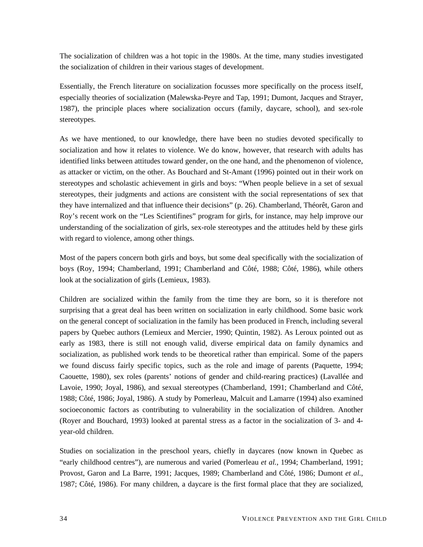The socialization of children was a hot topic in the 1980s. At the time, many studies investigated the socialization of children in their various stages of development.

Essentially, the French literature on socialization focusses more specifically on the process itself, especially theories of socialization (Malewska-Peyre and Tap, 1991; Dumont, Jacques and Strayer, 1987), the principle places where socialization occurs (family, daycare, school), and sex-role stereotypes.

As we have mentioned, to our knowledge, there have been no studies devoted specifically to socialization and how it relates to violence. We do know, however, that research with adults has identified links between attitudes toward gender, on the one hand, and the phenomenon of violence, as attacker or victim, on the other. As Bouchard and St-Amant (1996) pointed out in their work on stereotypes and scholastic achievement in girls and boys: "When people believe in a set of sexual stereotypes, their judgments and actions are consistent with the social representations of sex that they have internalized and that influence their decisions" (p. 26). Chamberland, Théorêt, Garon and Roy's recent work on the "Les Scientifines" program for girls, for instance, may help improve our understanding of the socialization of girls, sex-role stereotypes and the attitudes held by these girls with regard to violence, among other things.

Most of the papers concern both girls and boys, but some deal specifically with the socialization of boys (Roy, 1994; Chamberland, 1991; Chamberland and Côté, 1988; Côté, 1986), while others look at the socialization of girls (Lemieux, 1983).

Children are socialized within the family from the time they are born, so it is therefore not surprising that a great deal has been written on socialization in early childhood. Some basic work on the general concept of socialization in the family has been produced in French, including several papers by Quebec authors (Lemieux and Mercier, 1990; Quintin, 1982). As Leroux pointed out as early as 1983, there is still not enough valid, diverse empirical data on family dynamics and socialization, as published work tends to be theoretical rather than empirical. Some of the papers we found discuss fairly specific topics, such as the role and image of parents (Paquette, 1994; Caouette, 1980), sex roles (parents' notions of gender and child-rearing practices) (Lavallée and Lavoie, 1990; Joyal, 1986), and sexual stereotypes (Chamberland, 1991; Chamberland and Côté, 1988; Côté, 1986; Joyal, 1986). A study by Pomerleau, Malcuit and Lamarre (1994) also examined socioeconomic factors as contributing to vulnerability in the socialization of children. Another (Royer and Bouchard, 1993) looked at parental stress as a factor in the socialization of 3- and 4 year-old children.

Studies on socialization in the preschool years, chiefly in daycares (now known in Quebec as "early childhood centres"), are numerous and varied (Pomerleau *et al.*, 1994; Chamberland, 1991; Provost, Garon and La Barre, 1991; Jacques, 1989; Chamberland and Côté, 1986; Dumont *et al.*, 1987; Côté, 1986). For many children, a daycare is the first formal place that they are socialized,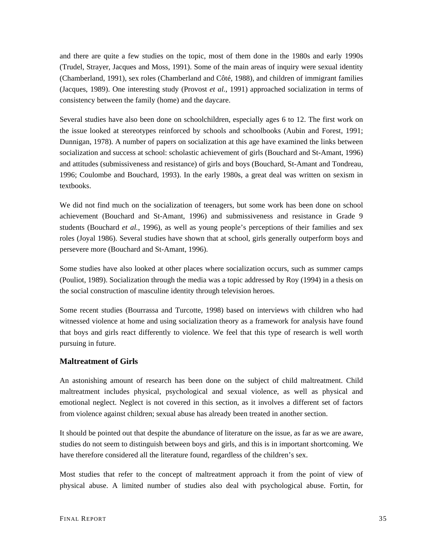<span id="page-34-0"></span>and there are quite a few studies on the topic, most of them done in the 1980s and early 1990s (Trudel, Strayer, Jacques and Moss, 1991). Some of the main areas of inquiry were sexual identity (Chamberland, 1991), sex roles (Chamberland and Côté, 1988), and children of immigrant families (Jacques, 1989). One interesting study (Provost *et al.*, 1991) approached socialization in terms of consistency between the family (home) and the daycare.

Several studies have also been done on schoolchildren, especially ages 6 to 12. The first work on the issue looked at stereotypes reinforced by schools and schoolbooks (Aubin and Forest, 1991; Dunnigan, 1978). A number of papers on socialization at this age have examined the links between socialization and success at school: scholastic achievement of girls (Bouchard and St-Amant, 1996) and attitudes (submissiveness and resistance) of girls and boys (Bouchard, St-Amant and Tondreau, 1996; Coulombe and Bouchard, 1993). In the early 1980s, a great deal was written on sexism in textbooks.

We did not find much on the socialization of teenagers, but some work has been done on school achievement (Bouchard and St-Amant, 1996) and submissiveness and resistance in Grade 9 students (Bouchard *et al.*, 1996), as well as young people's perceptions of their families and sex roles (Joyal 1986). Several studies have shown that at school, girls generally outperform boys and persevere more (Bouchard and St-Amant, 1996).

Some studies have also looked at other places where socialization occurs, such as summer camps (Pouliot, 1989). Socialization through the media was a topic addressed by Roy (1994) in a thesis on the social construction of masculine identity through television heroes.

Some recent studies (Bourrassa and Turcotte, 1998) based on interviews with children who had witnessed violence at home and using socialization theory as a framework for analysis have found that boys and girls react differently to violence. We feel that this type of research is well worth pursuing in future.

### **Maltreatment of Girls**

An astonishing amount of research has been done on the subject of child maltreatment. Child maltreatment includes physical, psychological and sexual violence, as well as physical and emotional neglect. Neglect is not covered in this section, as it involves a different set of factors from violence against children; sexual abuse has already been treated in another section.

It should be pointed out that despite the abundance of literature on the issue, as far as we are aware, studies do not seem to distinguish between boys and girls, and this is in important shortcoming. We have therefore considered all the literature found, regardless of the children's sex.

Most studies that refer to the concept of maltreatment approach it from the point of view of physical abuse. A limited number of studies also deal with psychological abuse. Fortin, for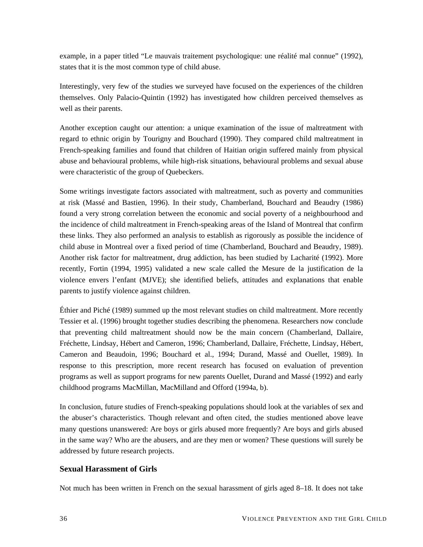<span id="page-35-0"></span>example, in a paper titled "Le mauvais traitement psychologique: une réalité mal connue" (1992), states that it is the most common type of child abuse.

Interestingly, very few of the studies we surveyed have focused on the experiences of the children themselves. Only Palacio-Quintin (1992) has investigated how children perceived themselves as well as their parents.

Another exception caught our attention: a unique examination of the issue of maltreatment with regard to ethnic origin by Tourigny and Bouchard (1990). They compared child maltreatment in French-speaking families and found that children of Haitian origin suffered mainly from physical abuse and behavioural problems, while high-risk situations, behavioural problems and sexual abuse were characteristic of the group of Quebeckers.

Some writings investigate factors associated with maltreatment, such as poverty and communities at risk (Massé and Bastien, 1996). In their study, Chamberland, Bouchard and Beaudry (1986) found a very strong correlation between the economic and social poverty of a neighbourhood and the incidence of child maltreatment in French-speaking areas of the Island of Montreal that confirm these links. They also performed an analysis to establish as rigorously as possible the incidence of child abuse in Montreal over a fixed period of time (Chamberland, Bouchard and Beaudry, 1989). Another risk factor for maltreatment, drug addiction, has been studied by Lacharité (1992). More recently, Fortin (1994, 1995) validated a new scale called the Mesure de la justification de la violence envers l'enfant (MJVE); she identified beliefs, attitudes and explanations that enable parents to justify violence against children.

Éthier and Piché (1989) summed up the most relevant studies on child maltreatment. More recently Tessier et al. (1996) brought together studies describing the phenomena. Researchers now conclude that preventing child maltreatment should now be the main concern (Chamberland, Dallaire, Fréchette, Lindsay, Hébert and Cameron, 1996; Chamberland, Dallaire, Fréchette, Lindsay, Hébert, Cameron and Beaudoin, 1996; Bouchard et al., 1994; Durand, Massé and Ouellet, 1989). In response to this prescription, more recent research has focused on evaluation of prevention programs as well as support programs for new parents Ouellet, Durand and Massé (1992) and early childhood programs MacMillan, MacMilland and Offord (1994a, b).

In conclusion, future studies of French-speaking populations should look at the variables of sex and the abuser's characteristics. Though relevant and often cited, the studies mentioned above leave many questions unanswered: Are boys or girls abused more frequently? Are boys and girls abused in the same way? Who are the abusers, and are they men or women? These questions will surely be addressed by future research projects.

### **Sexual Harassment of Girls**

Not much has been written in French on the sexual harassment of girls aged 8–18. It does not take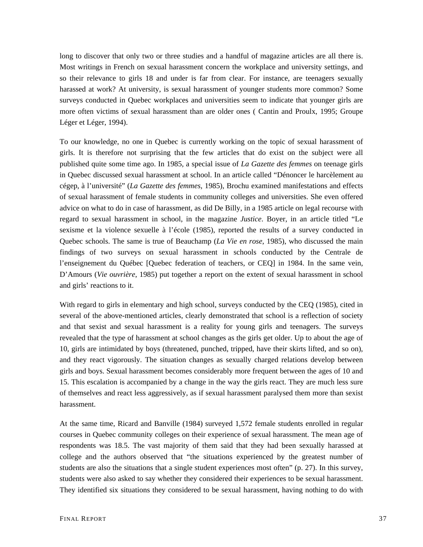long to discover that only two or three studies and a handful of magazine articles are all there is. Most writings in French on sexual harassment concern the workplace and university settings, and so their relevance to girls 18 and under is far from clear. For instance, are teenagers sexually harassed at work? At university, is sexual harassment of younger students more common? Some surveys conducted in Quebec workplaces and universities seem to indicate that younger girls are more often victims of sexual harassment than are older ones ( Cantin and Proulx, 1995; Groupe Léger et Léger, 1994).

To our knowledge, no one in Quebec is currently working on the topic of sexual harassment of girls. It is therefore not surprising that the few articles that do exist on the subject were all published quite some time ago. In 1985, a special issue of *La Gazette des femmes* on teenage girls in Quebec discussed sexual harassment at school. In an article called "Dénoncer le harcèlement au cégep, à l'université" (*La Gazette des femmes*, 1985), Brochu examined manifestations and effects of sexual harassment of female students in community colleges and universities. She even offered advice on what to do in case of harassment, as did De Billy, in a 1985 article on legal recourse with regard to sexual harassment in school, in the magazine *Justice*. Boyer, in an article titled "Le sexisme et la violence sexuelle à l'école (1985), reported the results of a survey conducted in Quebec schools. The same is true of Beauchamp (*La Vie en rose*, 1985), who discussed the main findings of two surveys on sexual harassment in schools conducted by the Centrale de l'enseignement du Québec [Quebec federation of teachers, or CEQ] in 1984. In the same vein, D'Amours (*Vie ouvrière*, 1985) put together a report on the extent of sexual harassment in school and girls' reactions to it.

With regard to girls in elementary and high school, surveys conducted by the CEQ (1985), cited in several of the above-mentioned articles, clearly demonstrated that school is a reflection of society and that sexist and sexual harassment is a reality for young girls and teenagers. The surveys revealed that the type of harassment at school changes as the girls get older. Up to about the age of 10, girls are intimidated by boys (threatened, punched, tripped, have their skirts lifted, and so on), and they react vigorously. The situation changes as sexually charged relations develop between girls and boys. Sexual harassment becomes considerably more frequent between the ages of 10 and 15. This escalation is accompanied by a change in the way the girls react. They are much less sure of themselves and react less aggressively, as if sexual harassment paralysed them more than sexist harassment.

At the same time, Ricard and Banville (1984) surveyed 1,572 female students enrolled in regular courses in Quebec community colleges on their experience of sexual harassment. The mean age of respondents was 18.5. The vast majority of them said that they had been sexually harassed at college and the authors observed that "the situations experienced by the greatest number of students are also the situations that a single student experiences most often" (p. 27). In this survey, students were also asked to say whether they considered their experiences to be sexual harassment. They identified six situations they considered to be sexual harassment, having nothing to do with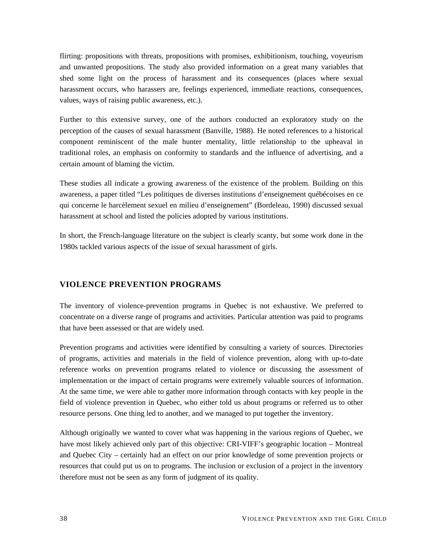<span id="page-37-0"></span>flirting: propositions with threats, propositions with promises, exhibitionism, touching, voyeurism and unwanted propositions. The study also provided information on a great many variables that shed some light on the process of harassment and its consequences (places where sexual harassment occurs, who harassers are, feelings experienced, immediate reactions, consequences, values, ways of raising public awareness, etc.).

Further to this extensive survey, one of the authors conducted an exploratory study on the perception of the causes of sexual harassment (Banville, 1988). He noted references to a historical component reminiscent of the male hunter mentality, little relationship to the upheaval in traditional roles, an emphasis on conformity to standards and the influence of advertising, and a certain amount of blaming the victim.

These studies all indicate a growing awareness of the existence of the problem. Building on this awareness, a paper titled "Les politiques de diverses institutions d'enseignement québécoises en ce qui concerne le harcèlement sexuel en milieu d'enseignement" (Bordeleau, 1990) discussed sexual harassment at school and listed the policies adopted by various institutions.

In short, the French-language literature on the subject is clearly scanty, but some work done in the 1980s tackled various aspects of the issue of sexual harassment of girls.

## **VIOLENCE PREVENTION PROGRAMS**

The inventory of violence-prevention programs in Quebec is not exhaustive. We preferred to concentrate on a diverse range of programs and activities. Particular attention was paid to programs that have been assessed or that are widely used.

Prevention programs and activities were identified by consulting a variety of sources. Directories of programs, activities and materials in the field of violence prevention, along with up-to-date reference works on prevention programs related to violence or discussing the assessment of implementation or the impact of certain programs were extremely valuable sources of information. At the same time, we were able to gather more information through contacts with key people in the field of violence prevention in Quebec, who either told us about programs or referred us to other resource persons. One thing led to another, and we managed to put together the inventory.

Although originally we wanted to cover what was happening in the various regions of Quebec, we have most likely achieved only part of this objective: CRI-VIFF's geographic location – Montreal and Quebec City – certainly had an effect on our prior knowledge of some prevention projects or resources that could put us on to programs. The inclusion or exclusion of a project in the inventory therefore must not be seen as any form of judgment of its quality.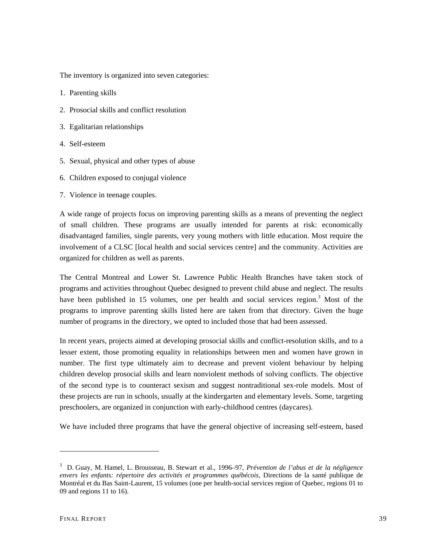The inventory is organized into seven categories:

- 1. Parenting skills
- 2. Prosocial skills and conflict resolution
- 3. Egalitarian relationships
- 4. Self-esteem
- 5. Sexual, physical and other types of abuse
- 6. Children exposed to conjugal violence
- 7. Violence in teenage couples.

A wide range of projects focus on improving parenting skills as a means of preventing the neglect of small children. These programs are usually intended for parents at risk: economically disadvantaged families, single parents, very young mothers with little education. Most require the involvement of a CLSC [local health and social services centre] and the community. Activities are organized for children as well as parents.

The Central Montreal and Lower St. Lawrence Public Health Branches have taken stock of programs and activities throughout Quebec designed to prevent child abuse and neglect. The results have been published in 15 volumes, one per health and social services region.<sup>[3](#page-38-0)</sup> Most of the programs to improve parenting skills listed here are taken from that directory. Given the huge number of programs in the directory, we opted to included those that had been assessed.

In recent years, projects aimed at developing prosocial skills and conflict-resolution skills, and to a lesser extent, those promoting equality in relationships between men and women have grown in number. The first type ultimately aim to decrease and prevent violent behaviour by helping children develop prosocial skills and learn nonviolent methods of solving conflicts. The objective of the second type is to counteract sexism and suggest nontraditional sex-role models. Most of these projects are run in schools, usually at the kindergarten and elementary levels. Some, targeting preschoolers, are organized in conjunction with early-childhood centres (daycares).

We have included three programs that have the general objective of increasing self-esteem, based

 $\overline{a}$ 

<span id="page-38-0"></span><sup>3</sup> D. Guay, M. Hamel, L. Brousseau, B. Stewart et al., 1996–97, *Prévention de l'abus et de la négligence envers les enfants: répertoire des activités et programmes québécois*, Directions de la santé publique de Montréal et du Bas Saint-Laurent, 15 volumes (one per health-social services region of Quebec, regions 01 to 09 and regions 11 to 16).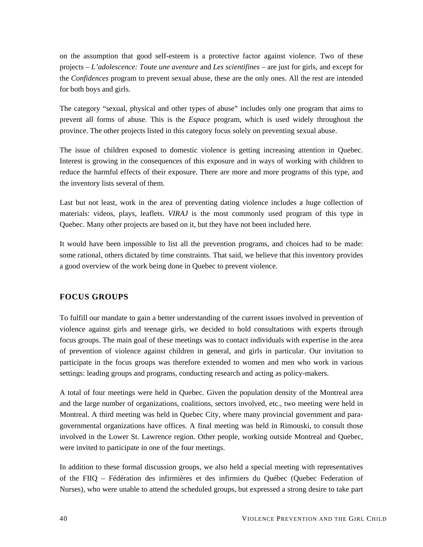<span id="page-39-0"></span>on the assumption that good self-esteem is a protective factor against violence. Two of these projects – *L'adolescence: Toute une aventure* and *Les scientifines* – are just for girls, and except for the *Confidences* program to prevent sexual abuse, these are the only ones. All the rest are intended for both boys and girls.

The category "sexual, physical and other types of abuse" includes only one program that aims to prevent all forms of abuse. This is the *Espace* program, which is used widely throughout the province. The other projects listed in this category focus solely on preventing sexual abuse.

The issue of children exposed to domestic violence is getting increasing attention in Quebec. Interest is growing in the consequences of this exposure and in ways of working with children to reduce the harmful effects of their exposure. There are more and more programs of this type, and the inventory lists several of them.

Last but not least, work in the area of preventing dating violence includes a huge collection of materials: videos, plays, leaflets. *VIRAJ* is the most commonly used program of this type in Quebec. Many other projects are based on it, but they have not been included here.

It would have been impossible to list all the prevention programs, and choices had to be made: some rational, others dictated by time constraints. That said, we believe that this inventory provides a good overview of the work being done in Quebec to prevent violence.

# **FOCUS GROUPS**

To fulfill our mandate to gain a better understanding of the current issues involved in prevention of violence against girls and teenage girls, we decided to hold consultations with experts through focus groups. The main goal of these meetings was to contact individuals with expertise in the area of prevention of violence against children in general, and girls in particular. Our invitation to participate in the focus groups was therefore extended to women and men who work in various settings: leading groups and programs, conducting research and acting as policy-makers.

A total of four meetings were held in Quebec. Given the population density of the Montreal area and the large number of organizations, coalitions, sectors involved, etc., two meeting were held in Montreal. A third meeting was held in Quebec City, where many provincial government and paragovernmental organizations have offices. A final meeting was held in Rimouski, to consult those involved in the Lower St. Lawrence region. Other people, working outside Montreal and Quebec, were invited to participate in one of the four meetings.

In addition to these formal discussion groups, we also held a special meeting with representatives of the FIIQ – Fédération des infirmières et des infirmiers du Québec (Quebec Federation of Nurses), who were unable to attend the scheduled groups, but expressed a strong desire to take part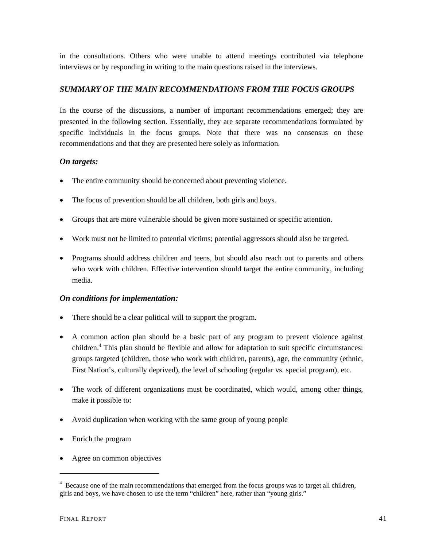<span id="page-40-0"></span>in the consultations. Others who were unable to attend meetings contributed via telephone interviews or by responding in writing to the main questions raised in the interviews.

# *SUMMARY OF THE MAIN RECOMMENDATIONS FROM THE FOCUS GROUPS*

In the course of the discussions, a number of important recommendations emerged; they are presented in the following section. Essentially, they are separate recommendations formulated by specific individuals in the focus groups. Note that there was no consensus on these recommendations and that they are presented here solely as information.

# *On targets:*

- The entire community should be concerned about preventing violence.
- The focus of prevention should be all children, both girls and boys.
- Groups that are more vulnerable should be given more sustained or specific attention.
- Work must not be limited to potential victims; potential aggressors should also be targeted.
- Programs should address children and teens, but should also reach out to parents and others who work with children. Effective intervention should target the entire community, including media.

### *On conditions for implementation:*

- There should be a clear political will to support the program.
- A common action plan should be a basic part of any program to prevent violence against children.<sup>4</sup> This plan should be flexible and allow for adaptation to suit specific circumstances: groups targeted (children, those who work with children, parents), age, the community (ethnic, First Nation's, culturally deprived), the level of schooling (regular vs. special program), etc.
- The work of different organizations must be coordinated, which would, among other things, make it possible to:
- Avoid duplication when working with the same group of young people
- Enrich the program
- Agree on common objectives

 $\overline{a}$ 

<span id="page-40-1"></span><sup>&</sup>lt;sup>4</sup> Because one of the main recommendations that emerged from the focus groups was to target all children, girls and boys, we have chosen to use the term "children" here, rather than "young girls."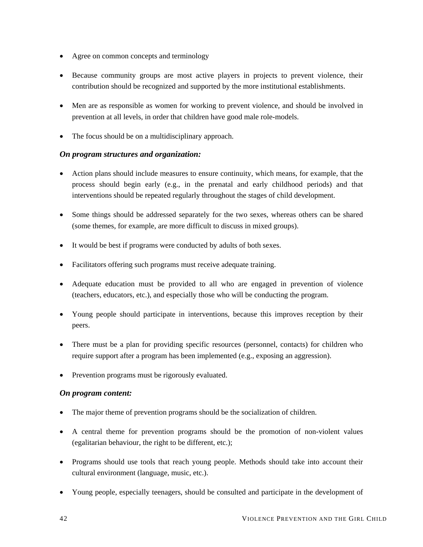- <span id="page-41-0"></span>• Agree on common concepts and terminology
- Because community groups are most active players in projects to prevent violence, their contribution should be recognized and supported by the more institutional establishments.
- Men are as responsible as women for working to prevent violence, and should be involved in prevention at all levels, in order that children have good male role-models.
- The focus should be on a multidisciplinary approach.

# *On program structures and organization:*

- Action plans should include measures to ensure continuity, which means, for example, that the process should begin early (e.g., in the prenatal and early childhood periods) and that interventions should be repeated regularly throughout the stages of child development.
- Some things should be addressed separately for the two sexes, whereas others can be shared (some themes, for example, are more difficult to discuss in mixed groups).
- It would be best if programs were conducted by adults of both sexes.
- Facilitators offering such programs must receive adequate training.
- Adequate education must be provided to all who are engaged in prevention of violence (teachers, educators, etc.), and especially those who will be conducting the program.
- Young people should participate in interventions, because this improves reception by their peers.
- There must be a plan for providing specific resources (personnel, contacts) for children who require support after a program has been implemented (e.g., exposing an aggression).
- Prevention programs must be rigorously evaluated.

# *On program content:*

- The major theme of prevention programs should be the socialization of children.
- A central theme for prevention programs should be the promotion of non-violent values (egalitarian behaviour, the right to be different, etc.);
- Programs should use tools that reach young people. Methods should take into account their cultural environment (language, music, etc.).
- Young people, especially teenagers, should be consulted and participate in the development of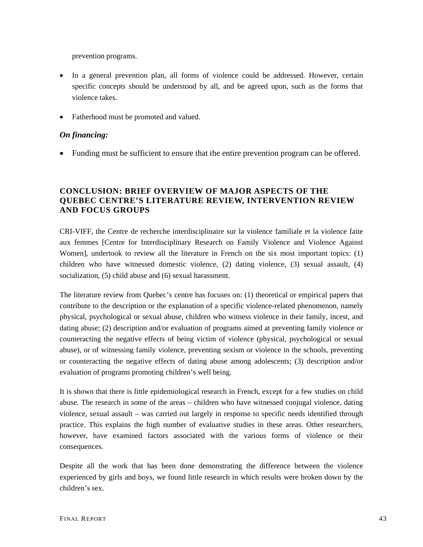prevention programs.

- In a general prevention plan, all forms of violence could be addressed. However, certain specific concepts should be understood by all, and be agreed upon, such as the forms that violence takes.
- Fatherhood must be promoted and valued.

## *On financing:*

• Funding must be sufficient to ensure that the entire prevention program can be offered.

# **CONCLUSION: BRIEF OVERVIEW OF MAJOR ASPECTS OF THE QUEBEC CENTRE'S LITERATURE REVIEW, INTERVENTION REVIEW AND FOCUS GROUPS**

CRI-VIFF, the Centre de recherche interdisciplinaire sur la violence familiale et la violence faite aux femmes [Centre for Interdisciplinary Research on Family Violence and Violence Against Women], undertook to review all the literature in French on the six most important topics: (1) children who have witnessed domestic violence, (2) dating violence, (3) sexual assault, (4) socialization, (5) child abuse and (6) sexual harassment.

The literature review from Quebec's centre has focuses on: (1) theoretical or empirical papers that contribute to the description or the explanation of a specific violence-related phenomenon, namely physical, psychological or sexual abuse, children who witness violence in their family, incest, and dating abuse; (2) description and/or evaluation of programs aimed at preventing family violence or counteracting the negative effects of being victim of violence (physical, psychological or sexual abuse), or of witnessing family violence, preventing sexism or violence in the schools, preventing or counteracting the negative effects of dating abuse among adolescents; (3) description and/or evaluation of programs promoting children's well being.

It is shown that there is little epidemiological research in French, except for a few studies on child abuse. The research in some of the areas – children who have witnessed conjugal violence, dating violence, sexual assault – was carried out largely in response to specific needs identified through practice. This explains the high number of evaluative studies in these areas. Other researchers, however, have examined factors associated with the various forms of violence or their consequences.

Despite all the work that has been done demonstrating the difference between the violence experienced by girls and boys, we found little research in which results were broken down by the children's sex.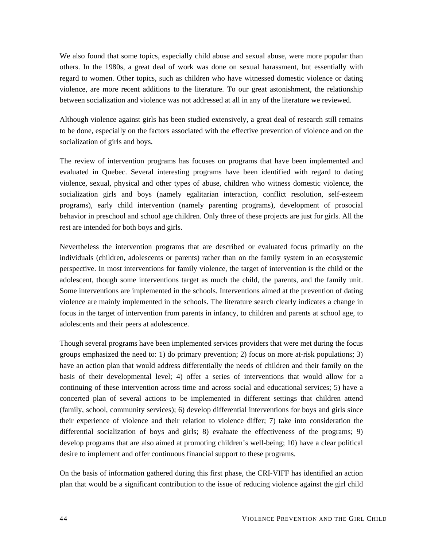We also found that some topics, especially child abuse and sexual abuse, were more popular than others. In the 1980s, a great deal of work was done on sexual harassment, but essentially with regard to women. Other topics, such as children who have witnessed domestic violence or dating violence, are more recent additions to the literature. To our great astonishment, the relationship between socialization and violence was not addressed at all in any of the literature we reviewed.

Although violence against girls has been studied extensively, a great deal of research still remains to be done, especially on the factors associated with the effective prevention of violence and on the socialization of girls and boys.

The review of intervention programs has focuses on programs that have been implemented and evaluated in Quebec. Several interesting programs have been identified with regard to dating violence, sexual, physical and other types of abuse, children who witness domestic violence, the socialization girls and boys (namely egalitarian interaction, conflict resolution, self-esteem programs), early child intervention (namely parenting programs), development of prosocial behavior in preschool and school age children. Only three of these projects are just for girls. All the rest are intended for both boys and girls.

Nevertheless the intervention programs that are described or evaluated focus primarily on the individuals (children, adolescents or parents) rather than on the family system in an ecosystemic perspective. In most interventions for family violence, the target of intervention is the child or the adolescent, though some interventions target as much the child, the parents, and the family unit. Some interventions are implemented in the schools. Interventions aimed at the prevention of dating violence are mainly implemented in the schools. The literature search clearly indicates a change in focus in the target of intervention from parents in infancy, to children and parents at school age, to adolescents and their peers at adolescence.

Though several programs have been implemented services providers that were met during the focus groups emphasized the need to: 1) do primary prevention; 2) focus on more at-risk populations; 3) have an action plan that would address differentially the needs of children and their family on the basis of their developmental level; 4) offer a series of interventions that would allow for a continuing of these intervention across time and across social and educational services; 5) have a concerted plan of several actions to be implemented in different settings that children attend (family, school, community services); 6) develop differential interventions for boys and girls since their experience of violence and their relation to violence differ; 7) take into consideration the differential socialization of boys and girls; 8) evaluate the effectiveness of the programs; 9) develop programs that are also aimed at promoting children's well-being; 10) have a clear political desire to implement and offer continuous financial support to these programs.

On the basis of information gathered during this first phase, the CRI-VIFF has identified an action plan that would be a significant contribution to the issue of reducing violence against the girl child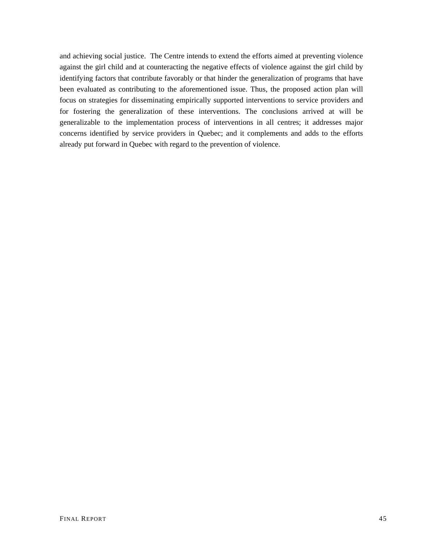and achieving social justice. The Centre intends to extend the efforts aimed at preventing violence against the girl child and at counteracting the negative effects of violence against the girl child by identifying factors that contribute favorably or that hinder the generalization of programs that have been evaluated as contributing to the aforementioned issue. Thus, the proposed action plan will focus on strategies for disseminating empirically supported interventions to service providers and for fostering the generalization of these interventions. The conclusions arrived at will be generalizable to the implementation process of interventions in all centres; it addresses major concerns identified by service providers in Quebec; and it complements and adds to the efforts already put forward in Quebec with regard to the prevention of violence.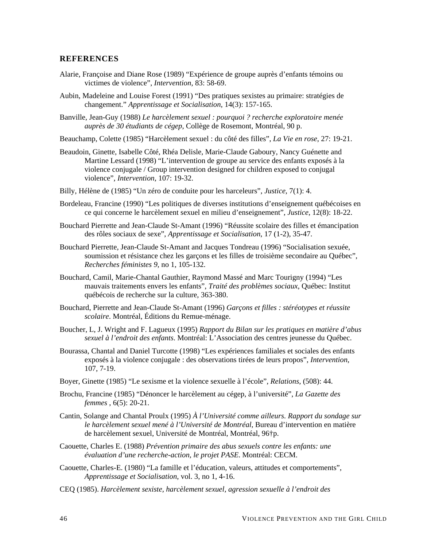#### <span id="page-45-0"></span>**REFERENCES**

- Alarie, Françoise and Diane Rose (1989) "Expérience de groupe auprès d'enfants témoins ou victimes de violence", *Intervention*, 83: 58-69.
- Aubin, Madeleine and Louise Forest (1991) "Des pratiques sexistes au primaire: stratégies de changement." *Apprentissage et Socialisation*, 14(3): 157-165.
- Banville, Jean-Guy (1988) *Le harcèlement sexuel : pourquoi ? recherche exploratoire menée auprès de 30 étudiants de cégep*, Collège de Rosemont, Montréal, 90 p.
- Beauchamp, Colette (1985) "Harcèlement sexuel : du côté des filles", *La Vie en rose*, 27: 19-21.
- Beaudoin, Ginette, Isabelle Côté, Rhéa Delisle, Marie-Claude Gaboury, Nancy Guénette and Martine Lessard (1998) "L'intervention de groupe au service des enfants exposés à la violence conjugale / Group intervention designed for children exposed to conjugal violence", *Intervention*, 107: 19-32.
- Billy, Hélène de (1985) "Un zéro de conduite pour les harceleurs", *Justice*, 7(1): 4.
- Bordeleau, Francine (1990) "Les politiques de diverses institutions d'enseignement québécoises en ce qui concerne le harcèlement sexuel en milieu d'enseignement", *Justice*, 12(8): 18-22.
- Bouchard Pierrette and Jean-Claude St-Amant (1996) "Réussite scolaire des filles et émancipation des rôles sociaux de sexe", *Apprentissage et Socialisation*, 17 (1-2), 35-47.
- Bouchard Pierrette, Jean-Claude St-Amant and Jacques Tondreau (1996) "Socialisation sexuée, soumission et résistance chez les garçons et les filles de troisième secondaire au Québec", *Recherches féministes 9*, no 1, 105-132.
- Bouchard, Camil, Marie-Chantal Gauthier, Raymond Massé and Marc Tourigny (1994) "Les mauvais traitements envers les enfants", *Traité des problèmes sociaux*, Québec: Institut québécois de recherche sur la culture, 363-380.
- Bouchard, Pierrette and Jean-Claude St-Amant (1996) *Garçons et filles : stéréotypes et réussite scolaire*. Montréal, Éditions du Remue-ménage.
- Boucher, L, J. Wright and F. Lagueux (1995) *Rapport du Bilan sur les pratiques en matière d'abus sexuel à l'endroit des enfants*. Montréal: L'Association des centres jeunesse du Québec.
- Bourassa, Chantal and Daniel Turcotte (1998) "Les expériences familiales et sociales des enfants exposés à la violence conjugale : des observations tirées de leurs propos", *Intervention*, 107, 7-19.
- Boyer, Ginette (1985) "Le sexisme et la violence sexuelle à l'école", *Relations*, (508): 44.
- Brochu, Francine (1985) "Dénoncer le harcèlement au cégep, à l'université", *La Gazette des femmes* , 6(5): 20-21.
- Cantin, Solange and Chantal Proulx (1995) *À l'Université comme ailleurs. Rapport du sondage sur le harcèlement sexuel mené à l'Université de Montréal*, Bureau d'intervention en matière de harcèlement sexuel, Université de Montréal, Montréal, 96†p.
- Caouette, Charles E. (1988) *Prévention primaire des abus sexuels contre les enfants: une évaluation d'une recherche-action, le projet PASE*. Montréal: CECM.
- Caouette, Charles-E. (1980) "La famille et l'éducation, valeurs, attitudes et comportements", *Apprentissage et Socialisation*, vol. 3, no 1, 4-16.
- CEQ (1985). *Harcèlement sexiste, harcèlement sexuel, agression sexuelle à l'endroit des*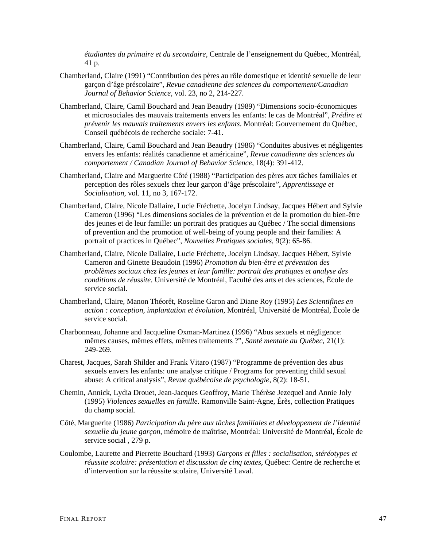*étudiantes du primaire et du secondaire*, Centrale de l'enseignement du Québec, Montréal, 41 p.

- Chamberland, Claire (1991) "Contribution des pères au rôle domestique et identité sexuelle de leur garçon d'âge préscolaire", *Revue canadienne des sciences du comportement/Canadian Journal of Behavior Science,* vol. 23, no 2, 214-227.
- Chamberland, Claire, Camil Bouchard and Jean Beaudry (1989) "Dimensions socio-économiques et microsociales des mauvais traitements envers les enfants: le cas de Montréal", *Prédire et prévenir les mauvais traitements envers les enfants*. Montréal: Gouvernement du Québec, Conseil québécois de recherche sociale: 7-41.
- Chamberland, Claire, Camil Bouchard and Jean Beaudry (1986) "Conduites abusives et négligentes envers les enfants: réalités canadienne et américaine", *Revue canadienne des sciences du comportement / Canadian Journal of Behavior Science*, 18(4): 391-412.
- Chamberland, Claire and Marguerite Côté (1988) "Participation des pères aux tâches familiales et perception des rôles sexuels chez leur garçon d'âge préscolaire", *Apprentissage et Socialisation*, vol. 11, no 3, 167-172.
- Chamberland, Claire, Nicole Dallaire, Lucie Fréchette, Jocelyn Lindsay, Jacques Hébert and Sylvie Cameron (1996) "Les dimensions sociales de la prévention et de la promotion du bien-être des jeunes et de leur famille: un portrait des pratiques au Québec / The social dimensions of prevention and the promotion of well-being of young people and their families: A portrait of practices in Québec", *Nouvelles Pratiques sociales*, 9(2): 65-86.
- Chamberland, Claire, Nicole Dallaire, Lucie Fréchette, Jocelyn Lindsay, Jacques Hébert, Sylvie Cameron and Ginette Beaudoin (1996) *Promotion du bien-être et prévention des problèmes sociaux chez les jeunes et leur famille: portrait des pratiques et analyse des conditions de réussite.* Université de Montréal, Faculté des arts et des sciences, École de service social.
- Chamberland, Claire, Manon Théorêt, Roseline Garon and Diane Roy (1995) *Les Scientifines en action : conception, implantation et évolution*, Montréal, Université de Montréal, École de service social.
- Charbonneau, Johanne and Jacqueline Oxman-Martinez (1996) "Abus sexuels et négligence: mêmes causes, mêmes effets, mêmes traitements ?", *Santé mentale au Québec*, 21(1): 249-269.
- Charest, Jacques, Sarah Shilder and Frank Vitaro (1987) "Programme de prévention des abus sexuels envers les enfants: une analyse critique / Programs for preventing child sexual abuse: A critical analysis", *Revue québécoise de psychologie*, 8(2): 18-51.
- Chemin, Annick, Lydia Drouet, Jean-Jacques Geoffroy, Marie Thérèse Jezequel and Annie Joly (1995) *Violences sexuelles en famille*. Ramonville Saint-Agne, Érès, collection Pratiques du champ social.
- Côté, Marguerite (1986) *Participation du père aux tâches familiales et développement de l'identité sexuelle du jeune garçon*, mémoire de maîtrise, Montréal: Université de Montréal, École de service social , 279 p.
- Coulombe, Laurette and Pierrette Bouchard (1993) *Garçons et filles : socialisation, stéréotypes et réussite scolaire: présentation et discussion de cinq textes*, Québec: Centre de recherche et d'intervention sur la réussite scolaire, Université Laval.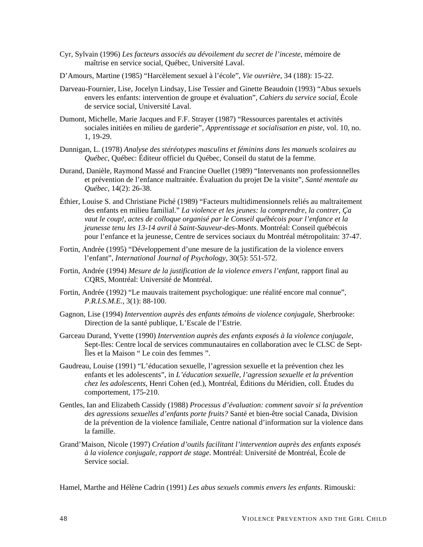- Cyr, Sylvain (1996) *Les facteurs associés au dévoilement du secret de l'inceste*, mémoire de maîtrise en service social, Québec, Université Laval.
- D'Amours, Martine (1985) "Harcèlement sexuel à l'école", *Vie ouvrière*, 34 (188): 15-22.
- Darveau-Fournier, Lise, Jocelyn Lindsay, Lise Tessier and Ginette Beaudoin (1993) "Abus sexuels envers les enfants: intervention de groupe et évaluation", *Cahiers du service social*, École de service social, Université Laval.
- Dumont, Michelle, Marie Jacques and F.F. Strayer (1987) "Ressources parentales et activités sociales initiées en milieu de garderie", *Apprentissage et socialisation en piste*, vol. 10, no. 1, 19-29.
- Dunnigan, L. (1978) *Analyse des stéréotypes masculins et féminins dans les manuels scolaires au Québec*, Québec: Éditeur officiel du Québec, Conseil du statut de la femme.
- Durand, Danièle, Raymond Massé and Francine Ouellet (1989) "Intervenants non professionnelles et prévention de l'enfance maltraitée. Évaluation du projet De la visite", *Santé mentale au Québec*, 14(2): 26-38.
- Éthier, Louise S. and Christiane Piché (1989) "Facteurs multidimensionnels reliés au maltraitement des enfants en milieu familial." *La violence et les jeunes: la comprendre, la contrer, Ça vaut le coup!, actes de colloque organisé par le Conseil québécois pour l'enfance et la jeunesse tenu les 13-14 avril à Saint-Sauveur-des-Monts*. Montréal: Conseil québécois pour l'enfance et la jeunesse, Centre de services sociaux du Montréal métropolitain: 37-47.
- Fortin, Andrée (1995) "Développement d'une mesure de la justification de la violence envers l'enfant", *International Journal of Psychology*, 30(5): 551-572.
- Fortin, Andrée (1994) *Mesure de la justification de la violence envers l'enfant*, rapport final au CQRS, Montréal: Université de Montréal.
- Fortin, Andrée (1992) "Le mauvais traitement psychologique: une réalité encore mal connue", *P.R.I.S.M.E.*, 3(1): 88-100.
- Gagnon, Lise (1994) *Intervention auprès des enfants témoins de violence conjugale*, Sherbrooke: Direction de la santé publique, L'Escale de l'Estrie.
- Garceau Durand, Yvette (1990) *Intervention auprès des enfants exposés à la violence conjugale*, Sept-Iles: Centre local de services communautaires en collaboration avec le CLSC de Sept-Îles et la Maison " Le coin des femmes ".
- Gaudreau, Louise (1991) "L'éducation sexuelle, l'agression sexuelle et la prévention chez les enfants et les adolescents", in *L'éducation sexuelle, l'agression sexuelle et la prévention chez les adolescents*, Henri Cohen (ed.), Montréal, Éditions du Méridien, coll. Études du comportement, 175-210.
- Gentles, Ian and Elizabeth Cassidy (1988) *Processus d'évaluation: comment savoir si la prévention des agressions sexuelles d'enfants porte fruits?* Santé et bien-être social Canada, Division de la prévention de la violence familiale, Centre national d'information sur la violence dans la famille.
- Grand'Maison, Nicole (1997) *Création d'outils facilitant l'intervention auprès des enfants exposés à la violence conjugale, rapport de stage*. Montréal: Université de Montréal, École de Service social.

Hamel, Marthe and Hélène Cadrin (1991) *Les abus sexuels commis envers les enfants*. Rimouski: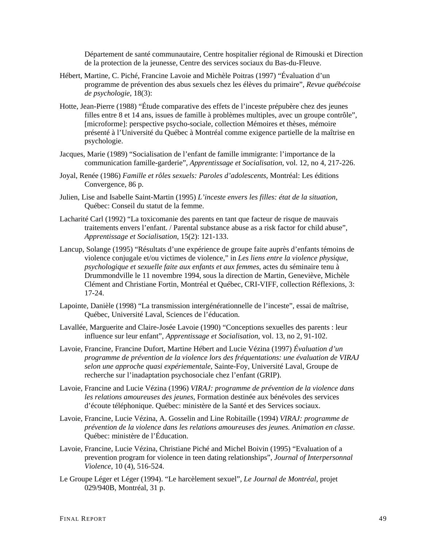Département de santé communautaire, Centre hospitalier régional de Rimouski et Direction de la protection de la jeunesse, Centre des services sociaux du Bas-du-Fleuve.

- Hébert, Martine, C. Piché, Francine Lavoie and Michèle Poitras (1997) "Évaluation d'un programme de prévention des abus sexuels chez les élèves du primaire", *Revue québécoise de psychologie*, 18(3):
- Hotte, Jean-Pierre (1988) "Étude comparative des effets de l'inceste prépubère chez des jeunes filles entre 8 et 14 ans, issues de famille à problèmes multiples, avec un groupe contrôle", [microforme]: perspective psycho-sociale, collection Mémoires et thèses, mémoire présenté à l'Université du Québec à Montréal comme exigence partielle de la maîtrise en psychologie.
- Jacques, Marie (1989) "Socialisation de l'enfant de famille immigrante: l'importance de la communication famille-garderie", *Apprentissage et Socialisation*, vol. 12, no 4, 217-226.
- Joyal, Renée (1986) *Famille et rôles sexuels: Paroles d'adolescents*, Montréal: Les éditions Convergence, 86 p.
- Julien, Lise and Isabelle Saint-Martin (1995) *L'inceste envers les filles: état de la situation,*  Québec: Conseil du statut de la femme.
- Lacharité Carl (1992) "La toxicomanie des parents en tant que facteur de risque de mauvais traitements envers l'enfant. / Parental substance abuse as a risk factor for child abuse", *Apprentissage et Socialisation*, 15(2): 121-133.
- Lancup, Solange (1995) "Résultats d'une expérience de groupe faite auprès d'enfants témoins de violence conjugale et/ou victimes de violence," in *Les liens entre la violence physique, psychologique et sexuelle faite aux enfants et aux femmes*, actes du séminaire tenu à Drummondville le 11 novembre 1994, sous la direction de Martin, Geneviève, Michèle Clément and Christiane Fortin, Montréal et Québec, CRI-VIFF, collection Réflexions, 3: 17-24.
- Lapointe, Danièle (1998) "La transmission intergénérationnelle de l'inceste", essai de maîtrise, Québec, Université Laval, Sciences de l'éducation.
- Lavallée, Marguerite and Claire-Josée Lavoie (1990) "Conceptions sexuelles des parents : leur influence sur leur enfant", *Apprentissage et Socialisation*, vol. 13, no 2, 91-102.
- Lavoie, Francine, Francine Dufort, Martine Hébert and Lucie Vézina (1997) *Évaluation d'un programme de prévention de la violence lors des fréquentations: une évaluation de VIRAJ selon une approche quasi expériementale*, Sainte-Foy, Université Laval, Groupe de recherche sur l'inadaptation psychosociale chez l'enfant (GRIP).
- Lavoie, Francine and Lucie Vézina (1996) *VIRAJ: programme de prévention de la violence dans les relations amoureuses des jeunes*, Formation destinée aux bénévoles des services d'écoute téléphonique. Québec: ministère de la Santé et des Services sociaux.
- Lavoie, Francine, Lucie Vézina, A. Gosselin and Line Robitaille (1994) *VIRAJ: programme de prévention de la violence dans les relations amoureuses des jeunes. Animation en classe*. Québec: ministère de l'Éducation.
- Lavoie, Francine, Lucie Vézina, Christiane Piché and Michel Boivin (1995) "Evaluation of a prevention program for violence in teen dating relationships", *Journal of Interpersonnal Violence*, 10 (4), 516-524.
- Le Groupe Léger et Léger (1994). "Le harcèlement sexuel", *Le Journal de Montréal,* projet 029/940B, Montréal, 31 p.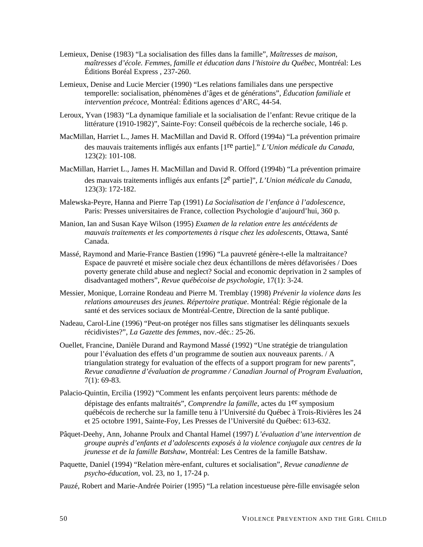- Lemieux, Denise (1983) "La socialisation des filles dans la famille", *Maîtresses de maison, maîtresses d'école. Femmes, famille et éducation dans l'histoire du Québec*, Montréal: Les Éditions Boréal Express , 237-260.
- Lemieux, Denise and Lucie Mercier (1990) "Les relations familiales dans une perspective temporelle: socialisation, phénomènes d'âges et de générations", *Éducation familiale et intervention précoce*, Montréal: Éditions agences d'ARC, 44-54.
- Leroux, Yvan (1983) "La dynamique familiale et la socialisation de l'enfant: Revue critique de la littérature (1910-1982)", Sainte-Foy: Conseil québécois de la recherche sociale, 146 p.
- MacMillan, Harriet L., James H. MacMillan and David R. Offord (1994a) "La prévention primaire des mauvais traitements infligés aux enfants [1re partie]." *L'Union médicale du Canada*, 123(2): 101-108.
- MacMillan, Harriet L., James H. MacMillan and David R. Offord (1994b) "La prévention primaire des mauvais traitements infligés aux enfants [2<sup>e</sup> partie]", *L'Union médicale du Canada*, 123(3): 172-182.
- Malewska-Peyre, Hanna and Pierre Tap (1991) *La Socialisation de l'enfance à l'adolescence*, Paris: Presses universitaires de France, collection Psychologie d'aujourd'hui, 360 p.
- Manion, Ian and Susan Kaye Wilson (1995) *Examen de la relation entre les antécédents de mauvais traitements et les comportements à risque chez les adolescents*, Ottawa, Santé Canada.
- Massé, Raymond and Marie-France Bastien (1996) "La pauvreté génère-t-elle la maltraitance? Espace de pauvreté et misère sociale chez deux échantillons de mères défavorisées / Does poverty generate child abuse and neglect? Social and economic deprivation in 2 samples of disadvantaged mothers", *Revue québécoise de psychologie*, 17(1): 3-24.
- Messier, Monique, Lorraine Rondeau and Pierre M. Tremblay (1998) *Prévenir la violence dans les relations amoureuses des jeunes. Répertoire pratique*. Montréal: Régie régionale de la santé et des services sociaux de Montréal-Centre, Direction de la santé publique.
- Nadeau, Carol-Line (1996) "Peut-on protéger nos filles sans stigmatiser les délinquants sexuels récidivistes?", *La Gazette des femmes*, nov.-déc.: 25-26.
- Ouellet, Francine, Danièle Durand and Raymond Massé (1992) "Une stratégie de triangulation pour l'évaluation des effets d'un programme de soutien aux nouveaux parents. / A triangulation strategy for evaluation of the effects of a support program for new parents", *Revue canadienne d'évaluation de programme / Canadian Journal of Program Evaluation*, 7(1): 69-83.
- Palacio-Quintin, Ercilia (1992) "Comment les enfants perçoivent leurs parents: méthode de dépistage des enfants maltraités", *Comprendre la famille*, actes du 1er symposium québécois de recherche sur la famille tenu à l'Université du Québec à Trois-Rivières les 24 et 25 octobre 1991, Sainte-Foy, Les Presses de l'Université du Québec: 613-632.
- Pâquet-Deehy, Ann, Johanne Proulx and Chantal Hamel (1997) *L'évaluation d'une intervention de groupe auprès d'enfants et d'adolescents exposés à la violence conjugale aux centres de la jeunesse et de la famille Batshaw*, Montréal: Les Centres de la famille Batshaw.
- Paquette, Daniel (1994) "Relation mère-enfant, cultures et socialisation", *Revue canadienne de psycho-éducation*, vol. 23, no 1, 17-24 p.
- Pauzé, Robert and Marie-Andrée Poirier (1995) "La relation incestueuse père-fille envisagée selon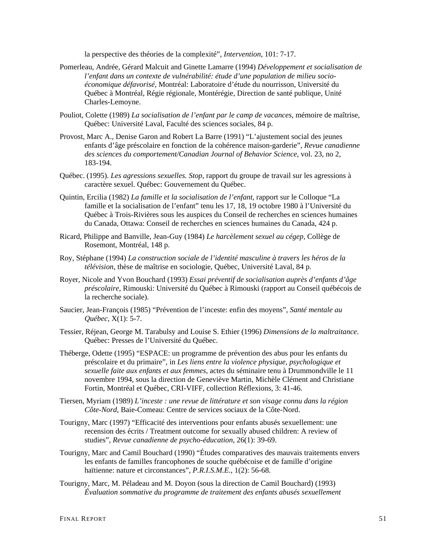la perspective des théories de la complexité", *Intervention*, 101: 7-17.

- Pomerleau, Andrée, Gérard Malcuit and Ginette Lamarre (1994) *Développement et socialisation de l'enfant dans un contexte de vulnérabilité: étude d'une population de milieu socioéconomique défavorisé,* Montréal: Laboratoire d'étude du nourrisson, Université du Québec à Montréal, Régie régionale, Montérégie, Direction de santé publique, Unité Charles-Lemoyne.
- Pouliot, Colette (1989) *La socialisation de l'enfant par le camp de vacances*, mémoire de maîtrise, Québec: Université Laval, Faculté des sciences sociales, 84 p.
- Provost, Marc A., Denise Garon and Robert La Barre (1991) "L'ajustement social des jeunes enfants d'âge préscolaire en fonction de la cohérence maison-garderie", *Revue canadienne des sciences du comportement/Canadian Journal of Behavior Science*, vol. 23, no 2, 183-194.
- Québec. (1995). *Les agressions sexuelles. Stop*, rapport du groupe de travail sur les agressions à caractère sexuel. Québec: Gouvernement du Québec.
- Quintin, Ercilia (1982) *La famille et la socialisation de l'enfant*, rapport sur le Colloque "La famille et la socialisation de l'enfant" tenu les 17, 18, 19 octobre 1980 à l'Université du Québec à Trois-Rivières sous les auspices du Conseil de recherches en sciences humaines du Canada, Ottawa: Conseil de recherches en sciences humaines du Canada, 424 p.
- Ricard, Philippe and Banville, Jean-Guy (1984) *Le harcèlement sexuel au cégep*, Collège de Rosemont, Montréal, 148 p.
- Roy, Stéphane (1994) *La construction sociale de l'identité masculine à travers les héros de la télévision*, thèse de maîtrise en sociologie, Québec, Université Laval, 84 p.
- Royer, Nicole and Yvon Bouchard (1993) *Essai préventif de socialisation auprès d'enfants d'âge préscolaire*, Rimouski: Université du Québec à Rimouski (rapport au Conseil québécois de la recherche sociale).
- Saucier, Jean-François (1985) "Prévention de l'inceste: enfin des moyens", *Santé mentale au Québec*, X(1): 5-7.
- Tessier, Réjean, George M. Tarabulsy and Louise S. Ethier (1996) *Dimensions de la maltraitance*. Québec: Presses de l'Université du Québec.
- Théberge, Odette (1995) "ESPACE: un programme de prévention des abus pour les enfants du préscolaire et du primaire", in *Les liens entre la violence physique, psychologique et sexuelle faite aux enfants et aux femmes*, actes du séminaire tenu à Drummondville le 11 novembre 1994, sous la direction de Geneviève Martin, Michèle Clément and Christiane Fortin, Montréal et Québec, CRI-VIFF, collection Réflexions, 3: 41-46.
- Tiersen, Myriam (1989) *L'inceste : une revue de littérature et son visage connu dans la région Côte-Nord*, Baie-Comeau: Centre de services sociaux de la Côte-Nord.
- Tourigny, Marc (1997) "Efficacité des interventions pour enfants abusés sexuellement: une recension des écrits / Treatment outcome for sexually abused children: A review of studies", *Revue canadienne de psycho-éducation*, 26(1): 39-69.
- Tourigny, Marc and Camil Bouchard (1990) "Études comparatives des mauvais traitements envers les enfants de familles francophones de souche québécoise et de famille d'origine haïtienne: nature et circonstances", *P.R.I.S.M.E.*, 1(2): 56-68.
- Tourigny, Marc, M. Péladeau and M. Doyon (sous la direction de Camil Bouchard) (1993) *Évaluation sommative du programme de traitement des enfants abusés sexuellement*